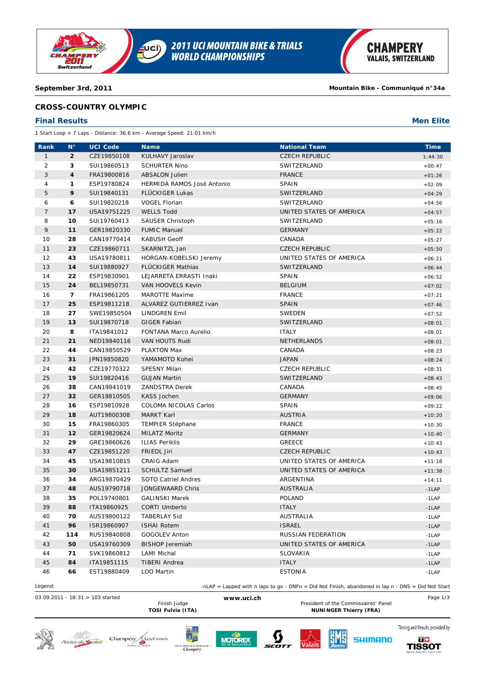

# **CROSS-COUNTRY OLYMPIC**

## **Final Results Men Elite**

1 Start Loop + 7 Laps - Distance: 36.6 km - Average Speed: 21.01 km/h

| Rank           | Ν°             | <b>UCI Code</b> | <b>Name</b>                | <b>National Team</b>                                                                               | <b>Time</b> |
|----------------|----------------|-----------------|----------------------------|----------------------------------------------------------------------------------------------------|-------------|
| $\mathbf{1}$   | $\overline{2}$ | CZE19850108     | KULHAVY Jaroslav           | <b>CZECH REPUBLIC</b>                                                                              | 1:44:30     |
| 2              | 3              | SUI19860513     | <b>SCHURTER Nino</b>       | SWITZERLAND                                                                                        | $+00:47$    |
| 3              | 4              | FRA19800816     | <b>ABSALON Julien</b>      | <b>FRANCE</b>                                                                                      | $+01:26$    |
| 4              | 1              | ESP19780824     | HERMIDA RAMOS José Antonio | SPAIN                                                                                              | $+02:09$    |
| 5              | 9              | SUI19840131     | FLÜCKIGER Lukas            | SWITZERLAND                                                                                        | $+04:29$    |
| 6              | 6              | SUI19820218     | <b>VOGEL Florian</b>       | SWITZERLAND                                                                                        | $+04:56$    |
| $\overline{7}$ | 17             | USA19751225     | <b>WELLS Todd</b>          | UNITED STATES OF AMERICA                                                                           | $+04:57$    |
| 8              | 10             | SUI19760413     | SAUSER Christoph           | SWITZERLAND                                                                                        | $+05:16$    |
| 9              | 11             | GER19820330     | <b>FUMIC Manuel</b>        | <b>GERMANY</b>                                                                                     | $+05:22$    |
| 10             | 28             | CAN19770414     | <b>KABUSH Geoff</b>        | CANADA                                                                                             | $+05:27$    |
| 11             | 23             | CZE19860711     | SKARNITZL Jan              | <b>CZECH REPUBLIC</b>                                                                              | $+05:50$    |
| 12             | 43             | USA19780811     | HORGAN-KOBELSKI Jeremy     | UNITED STATES OF AMERICA                                                                           | $+06:21$    |
| 13             | 14             | SUI19880927     | <b>FLÜCKIGER Mathias</b>   | SWITZERLAND                                                                                        | $+06:44$    |
| 14             | 22             | ESP19830901     | LEJARRETA ERRASTI Inaki    | <b>SPAIN</b>                                                                                       | $+06:52$    |
| 15             | 24             | BEL19850731     | VAN HOOVELS Kevin          | <b>BELGIUM</b>                                                                                     | $+07:02$    |
| 16             | $\overline{ }$ | FRA19861205     | <b>MAROTTE Maxime</b>      | <b>FRANCE</b>                                                                                      | $+07:21$    |
| 17             | 25             | ESP19811218     | ALVAREZ GUTIERREZ Ivan     | <b>SPAIN</b>                                                                                       | $+07:46$    |
| 18             | 27             | SWE19850504     | <b>LINDGREN Emil</b>       | SWEDEN                                                                                             | $+07:52$    |
| 19             | 13             | SUI19870718     | <b>GIGER Fabian</b>        | SWITZERLAND                                                                                        | $+08:01$    |
| 20             | 8              | ITA19841012     | FONTANA Marco Aurelio      | <b>ITALY</b>                                                                                       | $+08:01$    |
| 21             | 21             | NED19840116     | VAN HOUTS Rudi             | NETHERLANDS                                                                                        | $+08:01$    |
| 22             | 44             | CAN19850529     | PLAXTON Max                | CANADA                                                                                             | $+08:23$    |
| 23             | 31             | JPN19850820     | YAMAMOTO Kohei             | <b>JAPAN</b>                                                                                       | $+08:24$    |
| 24             | 42             | CZE19770322     | <b>SPESNY Milan</b>        | <b>CZECH REPUBLIC</b>                                                                              | $+08:31$    |
| 25             | 19             | SUI19820416     | <b>GUJAN Martin</b>        | SWITZERLAND                                                                                        | $+08:43$    |
| 26             | 38             | CAN19841019     | <b>ZANDSTRA Derek</b>      | CANADA                                                                                             | $+08:45$    |
| 27             | 32             | GER19810505     | <b>KASS Jochen</b>         | <b>GERMANY</b>                                                                                     | $+09:06$    |
| 28             | 16             | ESP19810928     | COLOMA NICOLAS Carlos      | <b>SPAIN</b>                                                                                       | $+09:22$    |
| 29             | 18             | AUT19800308     | <b>MARKT Karl</b>          | <b>AUSTRIA</b>                                                                                     | $+10:20$    |
| 30             | 15             | FRA19860305     | TEMPIER Stéphane           | <b>FRANCE</b>                                                                                      | $+10:30$    |
| 31             | 12             | GER19820624     | <b>MILATZ Moritz</b>       | <b>GERMANY</b>                                                                                     | $+10:40$    |
| 32             | 29             | GRE19860626     | <b>ILIAS Periklis</b>      | <b>GREECE</b>                                                                                      | $+10:43$    |
| 33             | 47             | CZE19851220     | FRIEDL Jiri                | <b>CZECH REPUBLIC</b>                                                                              | $+10:43$    |
| 34             | 45             | USA19810815     | CRAIG Adam                 | UNITED STATES OF AMERICA                                                                           | $+11:18$    |
| 35             | 30             | USA19851211     | <b>SCHULTZ Samuel</b>      | UNITED STATES OF AMERICA                                                                           | $+11:38$    |
| 36             | 34             | ARG19870429     | SOTO Catriel Andres        | ARGENTINA                                                                                          | $+14:11$    |
| 37             | 48             | AUS19790718     | JONGEWAARD Chris           | AUSTRALIA                                                                                          | $-1$ LAP    |
| 38             | 35             | POL19740801     | <b>GALINSKI Marek</b>      | <b>POLAND</b>                                                                                      | $-1$ LAP    |
| 39             | 88             | ITA19860925     | CORTI Umberto              | <b>ITALY</b>                                                                                       | $-1$ LAP    |
| 40             | 70             | AUS19800122     | <b>TABERLAY Sid</b>        | AUSTRALIA                                                                                          | $-1$ LAP    |
| 41             | 96             | ISR19860907     | <b>ISHAI Rotem</b>         | <b>ISRAEL</b>                                                                                      | $-1$ LAP    |
| 42             | 114            | RUS19840808     | <b>GOGOLEV Anton</b>       | RUSSIAN FEDERATION                                                                                 | $-1$ LAP    |
| 43             | 50             | USA19760309     | <b>BISHOP Jeremiah</b>     | UNITED STATES OF AMERICA                                                                           | $-1$ LAP    |
| 44             | 71             | SVK19860812     | LAMI Michal                | SLOVAKIA                                                                                           | $-1$ LAP    |
| 45             | 84             | ITA19851115     | <b>TIBERI Andrea</b>       | <b>ITALY</b>                                                                                       | $-1$ LAP    |
| 46             | 66             | EST19880409     | LOO Martin                 | <b>ESTONIA</b>                                                                                     | $-1$ LAP    |
| Legend:        |                |                 |                            | -nLAP = Lapped with n laps to go - DNFn = Did Not Finish, abandoned in lap n - DNS = Did Not Start |             |
|                |                |                 |                            |                                                                                                    |             |

Portes du Soleil

03.09.2011 - 18:31 > 103 started **Finish Judge www.uci.ch** President of the Commissaires' Panel

Finish Judge **WWW.ucl.cn**<br>
President of the Commissaires' Panel<br> **President of the Commissaires' Panel**<br> **NUNINGER Thierry (FRA) NUNINGER Thierry (FRA)** 











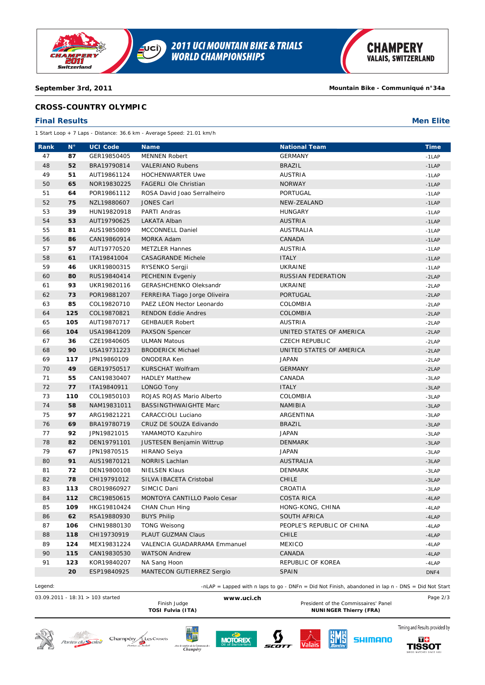

# **CROSS-COUNTRY OLYMPIC**

### **Final Results Men Elite**

1 Start Loop + 7 Laps - Distance: 36.6 km - Average Speed: 21.01 km/h

| Rank | $N^{\circ}$ | <b>UCI Code</b> | <b>Name</b>                      | <b>National Team</b>       | <b>Time</b> |
|------|-------------|-----------------|----------------------------------|----------------------------|-------------|
| 47   | 87          | GER19850405     | <b>MENNEN Robert</b>             | <b>GERMANY</b>             | $-1$ LAP    |
| 48   | 52          | BRA19790814     | <b>VALERIANO Rubens</b>          | <b>BRAZIL</b>              | $-1$ LAP    |
| 49   | 51          | AUT19861124     | <b>HOCHENWARTER Uwe</b>          | <b>AUSTRIA</b>             | $-1$ LAP    |
| 50   | 65          | NOR19830225     | FAGERLI Ole Christian            | <b>NORWAY</b>              | $-1$ LAP    |
| 51   | 64          | POR19861112     | ROSA David Joao Serralheiro      | PORTUGAL                   | $-1$ LAP    |
| 52   | 75          | NZL19880607     | <b>JONES Carl</b>                | NEW-ZEALAND                | $-1$ LAP    |
| 53   | 39          | HUN19820918     | PARTI Andras                     | <b>HUNGARY</b>             | $-1$ LAP    |
| 54   | 53          | AUT19790625     | LAKATA Alban                     | <b>AUSTRIA</b>             | $-1$ LAP    |
| 55   | 81          | AUS19850809     | MCCONNELL Daniel                 | <b>AUSTRALIA</b>           | $-1$ LAP    |
| 56   | 86          | CAN19860914     | MORKA Adam                       | CANADA                     | $-1$ LAP    |
| 57   | 57          | AUT19770520     | <b>METZLER Hannes</b>            | <b>AUSTRIA</b>             | $-1$ LAP    |
| 58   | 61          | ITA19841004     | <b>CASAGRANDE Michele</b>        | <b>ITALY</b>               | $-1$ LAP    |
| 59   | 46          | UKR19800315     | RYSENKO Sergji                   | UKRAINE                    | $-1$ LAP    |
| 60   | 80          | RUS19840414     | PECHENIN Evgeniy                 | RUSSIAN FEDERATION         | $-2LAP$     |
| 61   | 93          | UKR19820116     | GERASHCHENKO Oleksandr           | UKRAINE                    | $-2LAP$     |
| 62   | 73          | POR19881207     | FERREIRA Tiago Jorge Oliveira    | <b>PORTUGAL</b>            | $-2LAP$     |
| 63   | 85          | COL19820710     | PAEZ LEON Hector Leonardo        | COLOMBIA                   | $-2LAP$     |
| 64   | 125         | COL19870821     | <b>RENDON Eddie Andres</b>       | COLOMBIA                   | $-2LAP$     |
| 65   | 105         | AUT19870717     | <b>GEHBAUER Robert</b>           | <b>AUSTRIA</b>             | $-2LAP$     |
| 66   | 104         | USA19841209     | PAXSON Spencer                   | UNITED STATES OF AMERICA   | $-2LAP$     |
| 67   | 36          | CZE19840605     | <b>ULMAN Matous</b>              | <b>CZECH REPUBLIC</b>      | $-2LAP$     |
| 68   | 90          | USA19731223     | <b>BRODERICK Michael</b>         | UNITED STATES OF AMERICA   | $-2LAP$     |
| 69   | 117         | JPN19860109     | <b>ONODERA Ken</b>               | <b>JAPAN</b>               | $-2LAP$     |
| 70   | 49          | GER19750517     | <b>KURSCHAT Wolfram</b>          | <b>GERMANY</b>             | $-2LAP$     |
| 71   | 55          | CAN19830407     | <b>HADLEY Matthew</b>            | CANADA                     | $-3LAP$     |
| 72   | 77          | ITA19840911     | LONGO Tony                       | <b>ITALY</b>               | $-3LAP$     |
| 73   | 110         | COL19850103     | ROJAS ROJAS Mario Alberto        | COLOMBIA                   | $-3LAP$     |
| 74   | 58          | NAM19831011     | <b>BASSINGTHWAIGHTE Marc</b>     | <b>NAMIBIA</b>             | $-3LAP$     |
| 75   | 97          | ARG19821221     | CARACCIOLI Luciano               | ARGENTINA                  | $-3LAP$     |
| 76   | 69          | BRA19780719     | CRUZ DE SOUZA Edivando           | <b>BRAZIL</b>              | $-3LAP$     |
| 77   | 92          | JPN19821015     | YAMAMOTO Kazuhiro                | <b>JAPAN</b>               | $-3LAP$     |
| 78   | 82          | DEN19791101     | <b>JUSTESEN Benjamin Wittrup</b> | <b>DENMARK</b>             | $-3LAP$     |
| 79   | 67          | JPN19870515     | <b>HIRANO Seiya</b>              | <b>JAPAN</b>               | $-3LAP$     |
| 80   | 91          | AUS19870121     | <b>NORRIS Lachlan</b>            | <b>AUSTRALIA</b>           | $-3LAP$     |
| 81   | 72          | DEN19800108     | <b>NIELSEN Klaus</b>             | <b>DENMARK</b>             | $-3LAP$     |
| 82   | 78          | CHI19791012     | SILVA IBACETA Cristobal          | CHILE                      | $-3LAP$     |
| 83   | 113         | CRO19860927     | SIMCIC Dani                      | CROATIA                    | $-3LAP$     |
| 84   | 112         | CRC19850615     | MONTOYA CANTILLO Paolo Cesar     | <b>COSTA RICA</b>          | $-4LAP$     |
| 85   | 109         | HKG19810424     | CHAN Chun Hing                   | HONG-KONG, CHINA           | $-4$ LAP    |
| 86   | 62          | RSA19880930     | <b>BUYS Philip</b>               | SOUTH AFRICA               | $-4$ LAP    |
| 87   | 106         | CHN19880130     | <b>TONG Weisong</b>              | PEOPLE'S REPUBLIC OF CHINA | $-4LAP$     |
| 88   | 118         | CHI19730919     | PLAUT GUZMAN Claus               | <b>CHILE</b>               | $-4LAP$     |
| 89   | 124         | MEX19831224     | VALENCIA GUADARRAMA Emmanuel     | <b>MEXICO</b>              | $-4LAP$     |
| 90   | 115         | CAN19830530     | <b>WATSON Andrew</b>             | CANADA                     | $-4LAP$     |
| 91   | 123         | KOR19840207     | NA Sang Hoon                     | REPUBLIC OF KOREA          | $-4$ LAP    |
|      | 20          | ESP19840925     | MANTECON GUTIERREZ Sergio        | <b>SPAIN</b>               | DNF4        |

Legend: -nLAP = Lapped with n laps to go - DNFn = Did Not Finish, abandoned in lap n - DNS = Did Not Start

03.09.2011 - 18:31 > 103 started **www.uci.ch** Page 2/3

Finish Judge **Example 20 WWW.ucl.cn**<br>TOSI Fulvia (ITA) **President of the Commissaires' Panel**<br>NUNINGER Thierry (FRA) **NUNINGER Thierry (FRA)** 















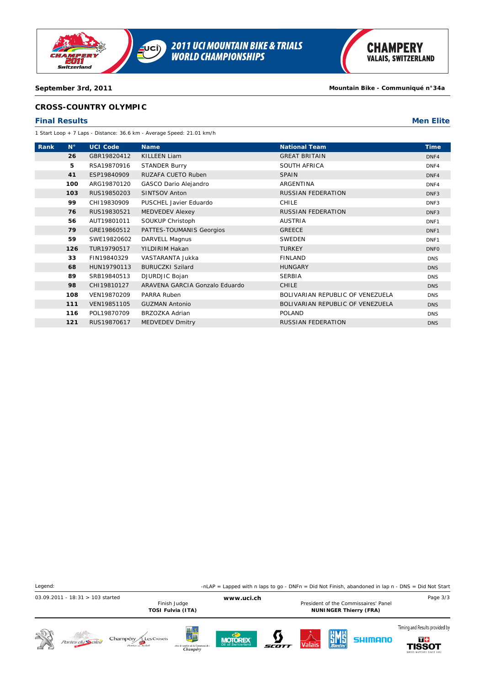

# **CROSS-COUNTRY OLYMPIC**

### **Final Results Men Elite**

1 Start Loop + 7 Laps - Distance: 36.6 km - Average Speed: 21.01 km/h

| Rank | $N^{\circ}$ | <b>UCI Code</b> | <b>Name</b>                    | <b>National Team</b>             | <b>Time</b>      |
|------|-------------|-----------------|--------------------------------|----------------------------------|------------------|
|      | 26          | GBR19820412     | <b>KILLEEN Liam</b>            | <b>GREAT BRITAIN</b>             | DNF4             |
|      | 5           | RSA19870916     | <b>STANDER Burry</b>           | SOUTH AFRICA                     | DNF4             |
|      | 41          | ESP19840909     | RUZAFA CUETO Ruben             | <b>SPAIN</b>                     | DNF4             |
|      | 100         | ARG19870120     | GASCO Dario Alejandro          | ARGENTINA                        | DNF4             |
|      | 103         | RUS19850203     | <b>SINTSOV Anton</b>           | RUSSIAN FEDERATION               | DNF <sub>3</sub> |
|      | 99          | CHI19830909     | PUSCHEL Javier Eduardo         | <b>CHILE</b>                     | DNF3             |
|      | 76          | RUS19830521     | <b>MEDVEDEV Alexey</b>         | <b>RUSSIAN FEDERATION</b>        | DNF <sub>3</sub> |
|      | 56          | AUT19801011     | SOUKUP Christoph               | <b>AUSTRIA</b>                   | DNF1             |
|      | 79          | GRE19860512     | PATTES-TOUMANIS Georgios       | <b>GREECE</b>                    | DNF <sub>1</sub> |
|      | 59          | SWE19820602     | DARVELL Magnus                 | SWEDEN                           | DNF1             |
|      | 126         | TUR19790517     | YILDIRIM Hakan                 | <b>TURKEY</b>                    | <b>DNFO</b>      |
|      | 33          | FIN19840329     | VASTARANTA Jukka               | <b>FINLAND</b>                   | <b>DNS</b>       |
|      | 68          | HUN19790113     | <b>BURUCZKI Szilard</b>        | <b>HUNGARY</b>                   | <b>DNS</b>       |
|      | 89          | SRB19840513     | DJURDJIC Bojan                 | <b>SERBIA</b>                    | <b>DNS</b>       |
|      | 98          | CHI19810127     | ARAVENA GARCIA Gonzalo Eduardo | <b>CHILE</b>                     | <b>DNS</b>       |
|      | 108         | VEN19870209     | PARRA Ruben                    | BOLIVARIAN REPUBLIC OF VENEZUELA | <b>DNS</b>       |
|      | 111         | VEN19851105     | <b>GUZMAN Antonio</b>          | BOLIVARIAN REPUBLIC OF VENEZUELA | <b>DNS</b>       |
|      | 116         | POL19870709     | <b>BRZOZKA Adrian</b>          | <b>POLAND</b>                    | <b>DNS</b>       |
|      | 121         | RUS19870617     | <b>MEDVEDEV Dmitry</b>         | <b>RUSSIAN FEDERATION</b>        | <b>DNS</b>       |

| Legend:                            |                         |                                                    |                                                                            |                                                                                     |       |        |                                                                  |          | -nLAP = Lapped with n laps to go - DNFn = Did Not Finish, abandoned in lap n - DNS = Did Not Start |
|------------------------------------|-------------------------|----------------------------------------------------|----------------------------------------------------------------------------|-------------------------------------------------------------------------------------|-------|--------|------------------------------------------------------------------|----------|----------------------------------------------------------------------------------------------------|
| $03.09.2011 - 18:31 > 103$ started |                         |                                                    | Finish Judge<br>TOSI Fulvia (ITA)                                          | www.uci.ch<br>President of the Commissaires' Panel<br><b>NUNINGER Thierry (FRA)</b> |       |        |                                                                  | Page 3/3 |                                                                                                    |
| SO                                 | Portes du <b>Soleil</b> | Champéry<br><b>Les Crosets</b><br>Portes du Soleil | Щ-\$<br><mark>\$Щ</mark><br>Avec le soutien de la Commune de :<br>Champéry | <b>MOTOREX</b>                                                                      | SCOTT | Valais | $\left \frac{\mathbf{S}}{\mathbf{S}}\mathbf{M}\mathbf{S}\right $ | SHIMANO  | Timing and Results provided by<br>TH.<br><b>TISSOT</b><br>SWISS WATCHES SINCE 1853                 |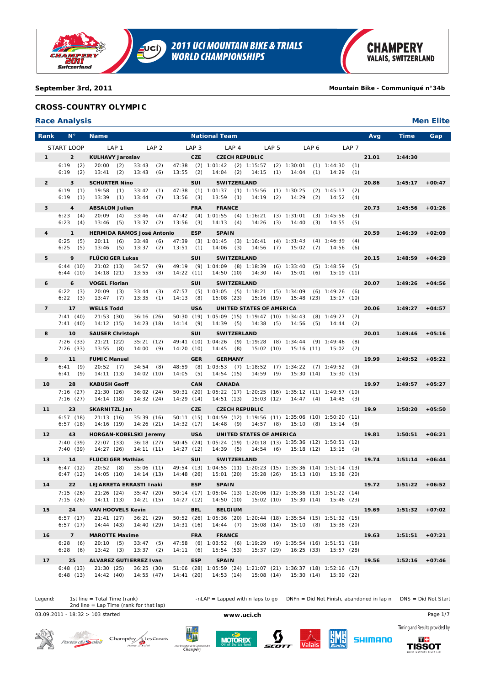

**2011 UCI MOUNTAIN BIKE & TRIALS<br>WORLD CHAMPIONSHIPS**  $\overline{\mathbf{C}}$ 

**CHAMPERY VALAIS, SWITZERLAND** 

**September 3rd, 2011 Mountain Bike - Communiqué n°34b**

# **CROSS-COUNTRY OLYMPIC**

# **Race Analysis Men Elite**

| Rank            | Ν°                       | <b>Name</b>                                                                            |                            |                        | <b>National Team</b>                                                                                          |           |       |           |       |                      |            | Avg   | Time              | Gap      |
|-----------------|--------------------------|----------------------------------------------------------------------------------------|----------------------------|------------------------|---------------------------------------------------------------------------------------------------------------|-----------|-------|-----------|-------|----------------------|------------|-------|-------------------|----------|
|                 | START LOOP               | LAP 1                                                                                  | LAP <sub>2</sub>           | LAP 3                  | LAP <sub>4</sub>                                                                                              |           | LAP 5 |           | LAP 6 |                      | LAP 7      |       |                   |          |
| $1^{\circ}$     | $\overline{2}$           | <b>KULHAVY Jaroslav</b>                                                                |                            | <b>CZE</b>             | <b>CZECH REPUBLIC</b>                                                                                         |           |       |           |       |                      |            | 21.01 | 1:44:30           |          |
|                 | $6:19$ (2)<br>$6:19$ (2) | $20:00$ (2)<br>$13:41$ (2)                                                             | $33:43$ (2)<br>13:43(6)    | $13:55$ (2)            | 47:38 (2) 1:01:42 (2) 1:15:57 (2) 1:30:01 (1) 1:44:30 (1)<br>$14:04$ (2) $14:15$ (1)                          |           |       | 14:04     | (1)   | $14:29$ (1)          |            |       |                   |          |
| $\overline{2}$  | 3                        | <b>SCHURTER Nino</b>                                                                   |                            | SUI                    | <b>SWITZERLAND</b>                                                                                            |           |       |           |       |                      |            | 20.86 | 1:45:17           | $+00:47$ |
|                 | $6:19$ (1)               | 19:58<br>33:42<br>(1)                                                                  | (1)                        |                        | 47:38 (1) 1:01:37 (1) 1:15:56 (1) 1:30:25 (2) 1:45:17                                                         |           |       |           |       |                      | (2)        |       |                   |          |
|                 | $6:19$ (1)               | 13:39<br>(1)                                                                           | 13:44(7)                   | $13:56$ (3)            | 13:59 (1) 14:19 (2) 14:29 (2) 14:52                                                                           |           |       |           |       |                      | (4)        |       |                   |          |
| 3               | $\overline{4}$           | <b>ABSALON Julien</b>                                                                  |                            | <b>FRA</b>             | <b>FRANCE</b>                                                                                                 |           |       |           |       |                      |            | 20.73 | 1:45:56           | $+01:26$ |
|                 | 6:23(4)<br>6:23(4)       | 20:09<br>(4)<br>13:46<br>(5)                                                           | $33:46$ (4)<br>$13:37$ (2) | $13:56$ (3)            | 47:42 (4) 1:01:55 (4) 1:16:21 (3) 1:31:01 (3) 1:45:56<br>14:13 (4) 14:26 (3) 14:40 (3)                        |           |       |           |       | 14:55                | (3)<br>(5) |       |                   |          |
| $\overline{4}$  | $\mathbf{1}$             | <b>HERMIDA RAMOS José Antonio</b>                                                      |                            | <b>ESP</b>             | <b>SPAIN</b>                                                                                                  |           |       |           |       |                      |            | 20.59 | 1:46:39           | $+02:09$ |
|                 | 6:25<br>(5)              | 33:48<br>20:11<br>(6)                                                                  | (6)                        |                        | 47:39 (3) 1:01:45 (3) 1:16:41 (4) 1:31:43 (4) 1:46:39                                                         |           |       |           |       |                      | (4)        |       |                   |          |
|                 | 6:25(5)                  | 13:46<br>(5)                                                                           | $13:37$ (2)                | 13:51(1)               | 14:06 (3) 14:56 (7) 15:02 (7) 14:56                                                                           |           |       |           |       |                      | (6)        |       |                   |          |
| 5               | 9<br>6:44(10)            | <b>FLÜCKIGER Lukas</b><br>21:02(13)                                                    | $34:57$ (9)                | <b>SUI</b>             | <b>SWITZERLAND</b><br>49:19 (9) 1:04:09 (8) 1:18:39 (6) 1:33:40 (5) 1:48:59 (5)                               |           |       |           |       |                      |            | 20.15 | 1:48:59           | $+04:29$ |
|                 | 6:44(10)                 | 14:18(21)                                                                              | 13:55(8)                   | 14:22(11)              | $14:50(10)$ $14:30(4)$                                                                                        |           |       |           |       | 15:01 (6) 15:19 (11) |            |       |                   |          |
| 6               | 6                        | <b>VOGEL Florian</b>                                                                   |                            | <b>SUI</b>             | <b>SWITZERLAND</b>                                                                                            |           |       |           |       |                      |            | 20.07 | 1:49:26           | $+04:56$ |
|                 | $6:22$ (3)               | $20:09$ (3)<br>13:47(7)                                                                | 33:44(3)                   |                        | 47:57 (5) 1:03:05 (5) 1:18:21 (5) 1:34:09 (6) 1:49:26 (6)<br>15:08 (23) 15:16 (19) 15:48 (23) 15:17 (10)      |           |       |           |       |                      |            |       |                   |          |
| $\overline{7}$  | $6:22$ (3)<br>17         | <b>WELLS Todd</b>                                                                      | 13:35(1)                   | 14:13(8)<br><b>USA</b> | UNITED STATES OF AMERICA                                                                                      |           |       |           |       |                      |            | 20.06 | 1:49:27           | $+04:57$ |
|                 | 7:41(40)                 | 21:53(30)                                                                              | 36:16(26)                  |                        | 50:30 (19) 1:05:09 (15) 1:19:47 (10) 1:34:43 (8) 1:49:27 (7)                                                  |           |       |           |       |                      |            |       |                   |          |
|                 | 7:41(40)                 | 14:12(15)                                                                              | 14:23(18)                  | 14:14(9)               | 14:39 (5) 14:38 (5) 14:56 (5) 14:44                                                                           |           |       |           |       |                      | (2)        |       |                   |          |
| 8               | 10                       | <b>SAUSER Christoph</b>                                                                |                            | SUI                    | SWITZERLAND                                                                                                   |           |       |           |       |                      |            | 20.01 | $1:49:46$ +05:16  |          |
|                 | 7:26(33)<br>7:26(33)     | 21:21(22)<br>13:55(8)                                                                  | 35:21(12)<br>14:00(9)      | 14:20 (10)             | 49:41 (10) 1:04:26 (9) 1:19:28 (8) 1:34:44 (9) 1:49:46<br>14:45 (8) 15:02 (10) 15:16 (11) 15:02 (7)           |           |       |           |       |                      | (8)        |       |                   |          |
| 9               | 11                       | <b>FUMIC Manuel</b>                                                                    |                            | <b>GER</b>             | <b>GERMANY</b>                                                                                                |           |       |           |       |                      |            | 19.99 | 1:49:52           | $+05:22$ |
|                 | 6:41(9)                  | 20:52(7)                                                                               | 34:54(8)                   |                        | 48:59 (8) 1:03:53 (7) 1:18:52 (7) 1:34:22 (7) 1:49:52 (9)                                                     |           |       |           |       |                      |            |       |                   |          |
|                 | 6:41(9)                  | 14:11 (13)                                                                             | 14:02(10)                  | $14:05$ (5)            | 14:54 (15) 14:59 (9) 15:30 (14) 15:30 (15)                                                                    |           |       |           |       |                      |            |       |                   |          |
| 10 <sup>°</sup> | 28<br>7:16(27)           | <b>KABUSH Geoff</b><br>21:30 (26)                                                      | 36:02(24)                  | <b>CAN</b>             | <b>CANADA</b><br>50:31 (20) 1:05:22 (17) 1:20:25 (16) 1:35:12 (11) 1:49:57 (10)                               |           |       |           |       |                      |            | 19.97 | 1:49:57           | $+05:27$ |
|                 | 7:16(27)                 | 14:14 (18)                                                                             | 14:32(24)                  | 14:29(14)              | $14:51(13)$ $15:03(12)$ $14:47(4)$ $14:45(3)$                                                                 |           |       |           |       |                      |            |       |                   |          |
| 11              | 23                       | <b>SKARNITZL Jan</b>                                                                   |                            | <b>CZE</b>             | <b>CZECH REPUBLIC</b>                                                                                         |           |       |           |       |                      |            | 19.9  | 1:50:20           | $+05:50$ |
|                 | 6:57(18)<br>6:57(18)     | 21:13(16)<br>14:16 (19)                                                                | 35:39(16)<br>14:26(21)     | 14:32(17)              | 50:11 (15) 1:04:59 (12) 1:19:56 (11) 1:35:06 (10) 1:50:20 (11)<br>14:48 (9) 14:57 (8) 15:10 (8) 15:14 (8)     |           |       |           |       |                      |            |       |                   |          |
| 12 <sup>2</sup> | 43                       | <b>HORGAN-KOBELSKI Jeremy</b>                                                          |                            | <b>USA</b>             | UNITED STATES OF AMERICA                                                                                      |           |       |           |       |                      |            | 19.81 | 1:50:51           | $+06:21$ |
|                 | 7:40(39)                 | 22:07 (33)                                                                             | 36:18(27)                  |                        | 50:45 (24) 1:05:24 (19) 1:20:18 (13) 1:35:36 (12) 1:50:51 (12)                                                |           |       |           |       |                      |            |       |                   |          |
|                 | 7:40(39)                 | 14:27(26)                                                                              | 14:11(11)                  | 14:27(12)              | 14:39 (5) 14:54 (6) 15:18 (12) 15:15 (9)                                                                      |           |       |           |       |                      |            |       |                   |          |
| 13              | 14                       | <b>FLÜCKIGER Mathias</b>                                                               |                            | SUI                    | <b>SWITZERLAND</b>                                                                                            |           |       |           |       |                      |            | 19.74 | $1:51:14 + 06:44$ |          |
|                 | 6:47(12)<br>6:47(12)     | 20:52(8)<br>14:05(10)                                                                  | 35:06(11)<br>14:14 (13)    | 14:48(26)              | 49:54 (13) 1:04:55 (11) 1:20:23 (15) 1:35:36 (14) 1:51:14 (13)<br>15:01 (20) 15:28 (26) 15:13 (10) 15:38 (20) |           |       |           |       |                      |            |       |                   |          |
| 14              | 22                       | LEJARRETA ERRASTI Inaki                                                                |                            | <b>ESP</b>             | <b>SPAIN</b>                                                                                                  |           |       |           |       |                      |            | 19.72 | 1:51:22           | $+06:52$ |
|                 |                          | 7:15 (26) 21:26 (24) 35:47 (20)                                                        |                            |                        | 50:14 (17) 1:05:04 (13) 1:20:06 (12) 1:35:36 (13) 1:51:22 (14)                                                |           |       |           |       |                      |            |       |                   |          |
|                 |                          | 7:15 (26) 14:11 (13) 14:21 (15) 14:27 (12) 14:50 (10) 15:02 (10) 15:30 (14) 15:46 (23) |                            |                        |                                                                                                               |           |       |           |       |                      |            |       |                   |          |
| 15              | 24<br>6:57(17)           | <b>VAN HOOVELS Kevin</b><br>21:41(27)                                                  | 36:21(29)                  | <b>BEL</b>             | <b>BELGIUM</b><br>50:52 (26) 1:05:36 (20) 1:20:44 (18) 1:35:54 (15) 1:51:32 (15)                              |           |       |           |       |                      |            | 19.69 | $1:51:32 +07:02$  |          |
|                 | 6:57(17)                 | 14:44(43)                                                                              | 14:40(29)                  | 14:31(16)              | 14:44(7)                                                                                                      | 15:08(14) |       | 15:10(8)  |       | 15:38 (20)           |            |       |                   |          |
| 16              | $\overline{7}$           | <b>MAROTTE Maxime</b>                                                                  |                            | <b>FRA</b>             | <b>FRANCE</b>                                                                                                 |           |       |           |       |                      |            | 19.63 | $1:51:51 + 07:21$ |          |
|                 | 6:28(6)<br>6:28(6)       | 20:10(5)<br>13:42(3)                                                                   | $33:47$ (5)<br>$13:37$ (2) | 14:11(6)               | 47:58 (6) 1:03:52 (6) 1:19:29 (9) 1:35:54 (16) 1:51:51 (16)<br>15:54(53)                                      | 15:37(29) |       | 16:25(33) |       | 15:57(28)            |            |       |                   |          |
| 17              | 25                       | ALVAREZ GUTIERREZ Ivan                                                                 |                            | <b>ESP</b>             | <b>SPAIN</b>                                                                                                  |           |       |           |       |                      |            | 19.56 | 1:52:16           | $+07:46$ |
|                 | 6:48(13)                 | 21:30(25)                                                                              | 36:25(30)                  |                        | 51:06 (28) 1:05:59 (24) 1:21:07 (21) 1:36:37 (18) 1:52:16 (17)                                                |           |       |           |       |                      |            |       |                   |          |
|                 | 6:48(13)                 | 14:42(40)                                                                              | 14:55(47)                  | 14:41(20)              | 14:53 (14) 15:08 (14) 15:30 (14) 15:39 (22)                                                                   |           |       |           |       |                      |            |       |                   |          |

Legend: 1st line = Total Time (rank) -nLAP = Lapped with n laps to go DNFn = Did Not Finish, abandoned in lap n DNS = Did Not Start 1st line = Total Time (rank)<br>2nd line = Lap Time (rank for that lap)

03.09.2011 - 18:32 > 103 started **www.uci.ch** Page 1/7



Portes du Soleil Champény Les Crosets







Timing and Results provided by **SHIMANO**  $\overline{a}$ 

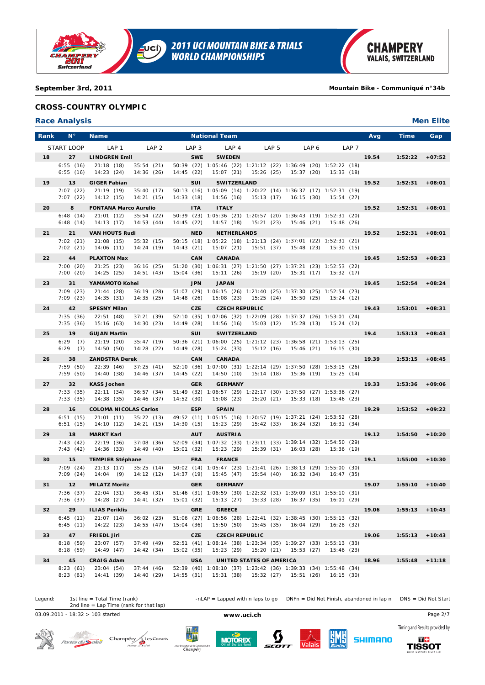

**2011 UCI MOUNTAIN BIKE & TRIALS<br>WORLD CHAMPIONSHIPS**  $\overline{\mathbf{C}}$ 

#### **September 3rd, 2011 Mountain Bike - Communiqué n°34b**

## **CROSS-COUNTRY OLYMPIC**

## **Race Analysis Men Elite**

| Rank | $N^{\circ}$          | <b>Name</b>                                                                            |                  | <b>National Team</b>                                                                    |                          |                                             |                  | Avg<br>Time      | Gap               |
|------|----------------------|----------------------------------------------------------------------------------------|------------------|-----------------------------------------------------------------------------------------|--------------------------|---------------------------------------------|------------------|------------------|-------------------|
|      | START LOOP           | LAP <sub>1</sub><br>LAP <sub>2</sub>                                                   | LAP <sub>3</sub> | LAP <sub>4</sub>                                                                        | LAP 5                    | LAP 6                                       | LAP <sub>7</sub> |                  |                   |
| 18   | 27                   | <b>LINDGREN Emil</b>                                                                   | <b>SWE</b>       | <b>SWEDEN</b>                                                                           |                          |                                             |                  | 19.54<br>1:52:22 | $+07:52$          |
|      | 6:55(16)             | 21:18(18)<br>35:54(21)                                                                 |                  | 50:39 (22) 1:05:46 (22) 1:21:12 (22) 1:36:49 (20) 1:52:22 (18)                          |                          |                                             |                  |                  |                   |
|      | 6:55(16)             | 14:23(24)<br>14:36(26)                                                                 | 14:45(22)        |                                                                                         |                          | 15:07 (21) 15:26 (25) 15:37 (20)            | 15:33(18)        |                  |                   |
| 19   | 13<br>7:07(22)       | <b>GIGER Fabian</b><br>35:40(17)<br>21:19(19)                                          | <b>SUI</b>       | <b>SWITZERLAND</b><br>50:13 (16) 1:05:09 (14) 1:20:22 (14) 1:36:37 (17) 1:52:31 (19)    |                          |                                             |                  | 19.52<br>1:52:31 | $+08:01$          |
|      | 7:07(22)             | 14:12(15)<br>14:21(15)                                                                 | 14:33(18)        |                                                                                         |                          | 14:56 (16) 15:13 (17) 16:15 (30) 15:54 (27) |                  |                  |                   |
| 20   | 8                    | <b>FONTANA Marco Aurelio</b>                                                           | <b>ITA</b>       | <b>ITALY</b>                                                                            |                          |                                             |                  | 19.52<br>1:52:31 | $+08:01$          |
|      | 6:48(14)<br>6:48(14) | 21:01(12)<br>35:54(22)<br>14:13(17)<br>14:53(44)                                       | 14:45(22)        | 50:39 (23) 1:05:36 (21) 1:20:57 (20) 1:36:43 (19) 1:52:31 (20)<br>14:57(18)             |                          | 15:21 (23) 15:46 (21)                       | 15:48 (26)       |                  |                   |
| 21   | 21                   | <b>VAN HOUTS Rudi</b>                                                                  | <b>NED</b>       | <b>NETHERLANDS</b>                                                                      |                          |                                             |                  | 19.52<br>1:52:31 | $+08:01$          |
|      | 7:02(21)             | 21:08(15)<br>35:32(15)                                                                 |                  | 50:15 (18) 1:05:22 (18) 1:21:13 (24) 1:37:01 (22) 1:52:31 (21)                          |                          |                                             |                  |                  |                   |
|      | 7:02(21)             | 14:06 (11)<br>14:24(19)                                                                | 14:43(21)        | 15:07(21)                                                                               |                          | 15:51 (37) 15:48 (23)                       | 15:30 (15)       |                  |                   |
| 22   | 44                   | <b>PLAXTON Max</b>                                                                     | <b>CAN</b>       | <b>CANADA</b>                                                                           |                          |                                             |                  | 19.45<br>1:52:53 | $+08:23$          |
|      | 7:00(20)<br>7:00(20) | 21:25(23)<br>36:16(25)<br>14:25 (25)<br>14:51(43)                                      | 15:04(36)        | 51:20 (30) 1:06:31 (27) 1:21:50 (27) 1:37:21 (23) 1:52:53 (22)<br>15:11 (26)            |                          | 15:19 (20) 15:31 (17) 15:32 (17)            |                  |                  |                   |
| 23   | 31                   | YAMAMOTO Kohei                                                                         | <b>JPN</b>       | <b>JAPAN</b>                                                                            |                          |                                             |                  | 19.45<br>1:52:54 | $+08:24$          |
|      | 7:09 (23)            | 21:44(28)<br>36:19(28)                                                                 |                  | 51:07 (29) 1:06:15 (26) 1:21:40 (25) 1:37:30 (25) 1:52:54 (23)                          |                          |                                             |                  |                  |                   |
|      | 7:09(23)             | 14:35(31)<br>14:35(25)                                                                 | 14:48(26)        |                                                                                         |                          | 15:08 (23) 15:25 (24) 15:50 (25) 15:24 (12) |                  |                  |                   |
| 24   | 42<br>7:35(36)       | <b>SPESNY Milan</b><br>22:51(48)<br>37:21(39)                                          | <b>CZE</b>       | <b>CZECH REPUBLIC</b><br>52:10 (35) 1:07:06 (32) 1:22:09 (28) 1:37:37 (26) 1:53:01 (24) |                          |                                             |                  | 19.43<br>1:53:01 | $+08:31$          |
|      | 7:35(36)             | 15:16(63)<br>14:30(23)                                                                 | 14:49 (28)       | 14:56(16)                                                                               |                          | 15:03 (12) 15:28 (13) 15:24 (12)            |                  |                  |                   |
| 25   | 19                   | <b>GUJAN Martin</b>                                                                    | SUI              | <b>SWITZERLAND</b>                                                                      |                          |                                             |                  | 19.4<br>1:53:13  | $+08:43$          |
|      | $6:29$ (7)           | 21:19(20)<br>35:47(19)                                                                 |                  | 50:36 (21) 1:06:00 (25) 1:21:12 (23) 1:36:58 (21) 1:53:13 (25)                          |                          |                                             |                  |                  |                   |
|      | $6:29$ (7)           | 14:50 (50)<br>14:28(22)                                                                | 14:49 (28)       |                                                                                         |                          | 15:24 (33) 15:12 (16) 15:46 (21) 16:15 (30) |                  |                  |                   |
| 26   | 38<br>7:59(50)       | <b>ZANDSTRA Derek</b><br>22:39(46)<br>37:25(41)                                        | <b>CAN</b>       | <b>CANADA</b><br>52:10 (36) 1:07:00 (31) 1:22:14 (29) 1:37:50 (28) 1:53:15 (26)         |                          |                                             |                  | 19.39<br>1:53:15 | $+08:45$          |
|      | 7:59(50)             | 14:40 (38)<br>14:46 (37)                                                               | 14:45(22)        | 14:50(10)                                                                               |                          | 15:14 (18) 15:36 (19) 15:25 (14)            |                  |                  |                   |
| 27   | 32                   | <b>KASS Jochen</b>                                                                     | <b>GER</b>       | <b>GERMANY</b>                                                                          |                          |                                             |                  | 19.33<br>1:53:36 | $+09:06$          |
|      | 7:33(35)<br>7:33(35) | 36:57(34)<br>22:11(34)<br>14:38(35)<br>14:46 (37)                                      | 14:52 (30)       | 51:49 (32) 1:06:57 (29) 1:22:17 (30) 1:37:50 (27) 1:53:36 (27)<br>15:08(23)             |                          | 15:20 (21) 15:33 (18) 15:46 (23)            |                  |                  |                   |
| 28   | 16                   | <b>COLOMA NICOLAS Carlos</b>                                                           | <b>ESP</b>       | <b>SPAIN</b>                                                                            |                          |                                             |                  | 19.29<br>1:53:52 | $+09:22$          |
|      | 6:51(15)             | 21:01(11)<br>35:22(13)                                                                 |                  | 49:52 (11) 1:05:15 (16) 1:20:57 (19) 1:37:21 (24) 1:53:52 (28)                          |                          |                                             |                  |                  |                   |
|      | 6:51(15)             | 14:10(12)<br>14:21(15)                                                                 | 14:30(15)        | 15:23(29)                                                                               |                          | 15:42 (33) 16:24 (32) 16:31 (34)            |                  |                  |                   |
| 29   | 18                   | <b>MARKT Karl</b>                                                                      | <b>AUT</b>       | <b>AUSTRIA</b>                                                                          |                          |                                             |                  | 19.12<br>1:54:50 | $+10:20$          |
|      | 7:43(42)<br>7:43(42) | 22:19(36)<br>37:08(36)<br>14:36(33)<br>14:49(40)                                       | 15:01(32)        | 52:09 (34) 1:07:32 (33) 1:23:11 (33) 1:39:14 (32) 1:54:50 (29)<br>15:23 (29)            |                          | 15:39 (31) 16:03 (28) 15:36 (19)            |                  |                  |                   |
| 30   | 15                   | <b>TEMPIER Stéphane</b>                                                                | <b>FRA</b>       | <b>FRANCE</b>                                                                           |                          |                                             |                  | 19.1<br>1:55:00  | $+10:30$          |
|      | 7:09(24)             | 21:13(17)<br>35:25(14)                                                                 |                  | 50:02 (14) 1:05:47 (23) 1:21:41 (26) 1:38:13 (29) 1:55:00 (30)                          |                          |                                             |                  |                  |                   |
|      | 7:09(24)             | 14:04(9)<br>14:12(12)                                                                  | 14:37 (19)       | 15:45 (47)                                                                              |                          | 15:54 (40) 16:32 (34) 16:47 (35)            |                  |                  |                   |
| 31   | 12                   | <b>MILATZ Moritz</b><br>7:36 (37) 22:04 (31)<br>36:45(31)                              | <b>GER</b>       | <b>GERMANY</b><br>51:46 (31) 1:06:59 (30) 1:22:32 (31) 1:39:09 (31) 1:55:10 (31)        |                          |                                             |                  | 19.07<br>1:55:10 | $+10:40$          |
|      |                      | 7:36 (37) 14:28 (27) 14:41 (32) 15:01 (32) 15:13 (27) 15:33 (28) 16:37 (35) 16:01 (29) |                  |                                                                                         |                          |                                             |                  |                  |                   |
| 32   | 29                   | <b>ILIAS Periklis</b>                                                                  | <b>GRE</b>       | <b>GREECE</b>                                                                           |                          |                                             |                  | 19.06            | $1:55:13 + 10:43$ |
|      | 6:45(11)<br>6:45(11) | 36:02(23)<br>21:07(14)<br>14:22(23)<br>14:55(47)                                       | 15:04(36)        | 51:06 (27) 1:06:56 (28) 1:22:41 (32) 1:38:45 (30) 1:55:13 (32)<br>15:50(50)             | 15:45(35)                | 16:04 (29)                                  | 16:28(32)        |                  |                   |
| 33   | 47                   | <b>FRIEDL Jiri</b>                                                                     | <b>CZE</b>       | <b>CZECH REPUBLIC</b>                                                                   |                          |                                             |                  | 19.06            | $1:55:13 + 10:43$ |
|      | 8:18(59)             | 23:07 (57)<br>37:49(49)                                                                |                  | 52:51 (41) 1:08:14 (38) 1:23:34 (35) 1:39:27 (33) 1:55:13 (33)                          |                          |                                             |                  |                  |                   |
|      | 8:18(59)             | 14:49 (47)<br>14:42(34)                                                                | 15:02 (35)       |                                                                                         |                          | 15:23 (29) 15:20 (21) 15:53 (27)            | 15:46 (23)       |                  |                   |
| 34   | 45                   | <b>CRAIG Adam</b><br>23:04(54)                                                         | <b>USA</b>       | 52:39 (40) 1:08:10 (37) 1:23:42 (36) 1:39:33 (34) 1:55:48 (34)                          | UNITED STATES OF AMERICA |                                             |                  | 18.96<br>1:55:48 | $+11:18$          |
|      | 8:23(61)<br>8:23(61) | 37:44(46)<br>14:41 (39)<br>14:40 (29)                                                  | 14:55(31)        |                                                                                         |                          | 15:31 (38) 15:32 (27) 15:51 (26)            | 16:15(30)        |                  |                   |

Legend: 1st line = Total Time (rank) -nLAP = Lapped with n laps to go DNFn = Did Not Finish, abandoned in lap n DNS = Did Not Start 1st line = Total Time (rank)<br>2nd line = Lap Time (rank for that lap)

03.09.2011 - 18:32 > 103 started **www.uci.ch** Page 2/7



Portes du Soleil Champény Les Crosets







Timing and Results provided by **SHIMANO**  $\overline{a}$ 

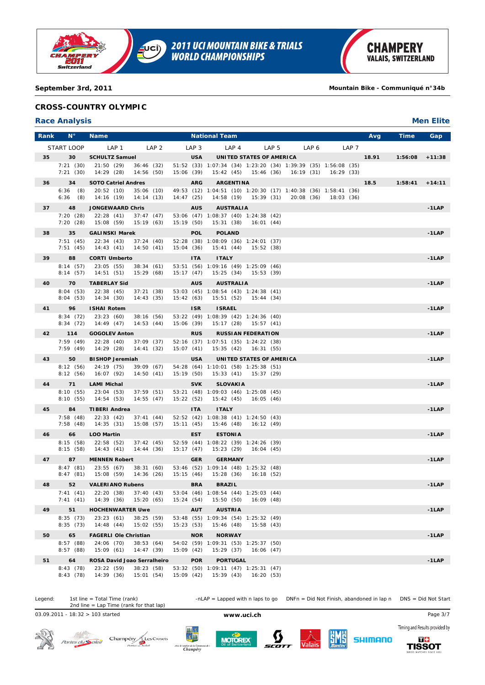

# **CROSS-COUNTRY OLYMPIC**

# **Race Analysis Men Elite**

| Rank | $N^{\circ}$          | <b>Name</b>                                          |                  | <b>National Team</b>                                                                               |                           |                  | <b>Time</b><br>Avg | Gap      |
|------|----------------------|------------------------------------------------------|------------------|----------------------------------------------------------------------------------------------------|---------------------------|------------------|--------------------|----------|
|      | START LOOP           | LAP <sub>1</sub><br>LAP <sub>2</sub>                 | LAP <sub>3</sub> | LAP <sub>4</sub>                                                                                   | LAP <sub>5</sub><br>LAP 6 | LAP <sub>7</sub> |                    |          |
| 35   | 30                   | <b>SCHULTZ Samuel</b>                                | <b>USA</b>       | UNITED STATES OF AMERICA                                                                           |                           |                  | 18.91<br>1:56:08   | $+11:38$ |
|      | 7:21(30)<br>7:21(30) | 21:50(29)<br>36:46(32)<br>14:29(28)<br>14:56 (50)    | 15:06 (39)       | 51:52 (33) 1:07:34 (34) 1:23:20 (34) 1:39:39 (35) 1:56:08 (35)<br>15:42 (45) 15:46 (36) 16:19 (31) |                           | 16:29 (33)       |                    |          |
| 36   | 34                   | <b>SOTO Catriel Andres</b>                           | <b>ARG</b>       | <b>ARGENTINA</b>                                                                                   |                           |                  | 18.5<br>1:58:41    | $+14:11$ |
|      | $6:36$ (8)           | 20:52(10)<br>35:06(10)                               |                  | 49:53 (12) 1:04:51 (10) 1:20:30 (17) 1:40:38 (36) 1:58:41 (36)                                     |                           |                  |                    |          |
|      | 6:36<br>(8)          | 14:14(13)<br>14:16 (19)                              | 14:47(25)        | 14:58 (19) 15:39 (31)                                                                              | 20:08 (36)                | 18:03 (36)       |                    |          |
| 37   | 48                   | <b>JONGEWAARD Chris</b>                              | <b>AUS</b>       | <b>AUSTRALIA</b>                                                                                   |                           |                  |                    | $-1LAP$  |
|      | 7:20(28)<br>7:20(28) | 22:28(41)<br>37:47(47)<br>15:08 (59)<br>15:19(63)    | 15:19 (50)       | 53:06 (47) 1:08:37 (40) 1:24:38 (42)<br>15:31 (38)<br>16:01 (44)                                   |                           |                  |                    |          |
| 38   | 35                   | <b>GALINSKI Marek</b>                                | <b>POL</b>       | <b>POLAND</b>                                                                                      |                           |                  |                    | $-1LAP$  |
|      | 7:51(45)             | 22:34(43)<br>37:24(40)                               |                  | 52:28 (38) 1:08:09 (36) 1:24:01 (37)                                                               |                           |                  |                    |          |
|      | 7:51(45)             | 14:43(41)<br>14:50(41)                               | 15:04(36)        | 15:41(44)<br>15:52(38)                                                                             |                           |                  |                    |          |
| 39   | 88                   | <b>CORTI Umberto</b>                                 | <b>ITA</b>       | <b>ITALY</b>                                                                                       |                           |                  |                    | $-1LAP$  |
|      | 8:14(57)<br>8:14(57) | 23:05(55)<br>38:34(61)<br>14:51 (51)<br>15:29 (68)   | 15:17(47)        | 53:51 (56) 1:09:16 (49) 1:25:09 (46)<br>15:25 (34)<br>15:53 (39)                                   |                           |                  |                    |          |
| 40   | 70                   | <b>TABERLAY Sid</b>                                  | <b>AUS</b>       | <b>AUSTRALIA</b>                                                                                   |                           |                  |                    | $-1$ LAP |
|      | 8:04(53)             | 22:38(45)<br>37:21(38)                               |                  | 53:03 (45) 1:08:54 (43) 1:24:38 (41)                                                               |                           |                  |                    |          |
|      | 8:04(53)             | 14:34(30)<br>14:43(35)                               | 15:42(63)        | 15:51 (52)<br>15:44 (34)                                                                           |                           |                  |                    |          |
| 41   | 96<br>8:34(72)       | <b>ISHAI Rotem</b><br>23:23(60)<br>38:16 (56)        | <b>ISR</b>       | <b>ISRAEL</b><br>53:22 (49) 1:08:39 (42) 1:24:36 (40)                                              |                           |                  |                    | $-1LAP$  |
|      | 8:34(72)             | 14:49 (47)<br>14:53(44)                              | 15:06 (39)       | 15:17 (28)<br>15:57 (41)                                                                           |                           |                  |                    |          |
| 42   | 114                  | <b>GOGOLEV Anton</b>                                 | <b>RUS</b>       | <b>RUSSIAN FEDERATION</b>                                                                          |                           |                  |                    | $-1$ LAP |
|      | 7:59(49)<br>7:59(49) | 22:28(40)<br>37:09(37)<br>14:29 (28)<br>14:41(32)    | 15:07 (41)       | 52:16 (37) 1:07:51 (35) 1:24:22 (38)<br>15:35 (42) 16:31 (55)                                      |                           |                  |                    |          |
| 43   | 50                   | <b>BISHOP Jeremiah</b>                               | <b>USA</b>       | UNITED STATES OF AMERICA                                                                           |                           |                  |                    | $-1$ LAP |
|      | 8:12(56)             | 24:19 (75)<br>39:09(67)                              |                  | 54:28 (64) 1:10:01 (58) 1:25:38 (51)                                                               |                           |                  |                    |          |
|      | 8:12(56)             | 16:07 (92)<br>14:50(41)                              | 15:19 (50)       | 15:33 (41)<br>15:37 (29)                                                                           |                           |                  |                    |          |
| 44   | 71                   | <b>LAMI Michal</b>                                   | <b>SVK</b>       | <b>SLOVAKIA</b>                                                                                    |                           |                  |                    | $-1LAP$  |
|      | 8:10(55)<br>8:10(55) | 23:04 (53)<br>37:59(51)<br>14:54 (53)<br>14:55(47)   | 15:22(52)        | 53:21 (48) 1:09:03 (46) 1:25:08 (45)<br>15:42 (45)<br>16:05 (46)                                   |                           |                  |                    |          |
| 45   | 84                   | <b>TIBERI Andrea</b>                                 | <b>ITA</b>       | <b>ITALY</b>                                                                                       |                           |                  |                    | $-1$ LAP |
|      | 7:58(48)             | 22:33(42)<br>37:41(44)                               |                  | 52:52 (42) 1:08:38 (41) 1:24:50 (43)                                                               |                           |                  |                    |          |
|      | 7:58(48)             | 14:35(31)<br>15:08 (57)                              | 15:11(45)        | 15:46 (48)<br>16:12(49)                                                                            |                           |                  |                    |          |
| 46   | 66<br>8:15(58)       | LOO Martin<br>22:58(52)<br>37:42(45)                 | <b>EST</b>       | <b>ESTONIA</b><br>52:59 (44) 1:08:22 (39) 1:24:26 (39)                                             |                           |                  |                    | $-1LAP$  |
|      | 8:15(58)             | 14:44(36)<br>14:43(41)                               | 15:17(47)        | 15:23 (29)<br>16:04(45)                                                                            |                           |                  |                    |          |
| 47   | 87                   | <b>MENNEN Robert</b>                                 | <b>GER</b>       | <b>GERMANY</b>                                                                                     |                           |                  |                    | $-1$ LAP |
|      | 8:47(81)<br>8:47(81) | 23:55(67)<br>38:31(60)<br>15:08 (59)<br>14:36(26)    | 15:15(46)        | 53:46 (52) 1:09:14 (48) 1:25:32 (48)<br>15:28 (36)<br>16:18 (52)                                   |                           |                  |                    |          |
| 48   | 52                   | <b>VALERIANO Rubens</b>                              | <b>BRA</b>       | <b>BRAZIL</b>                                                                                      |                           |                  |                    | $-1$ LAP |
|      | 7:41(41)             | 22:20 (38) 37:40 (43)                                |                  | 53:04 (46) 1:08:54 (44) 1:25:03 (44)                                                               |                           |                  |                    |          |
|      | 7:41(41)             | 14:39 (36) 15:20 (65)                                | 15:24 (54)       | 15:50 (50)<br>16:09(48)                                                                            |                           |                  |                    |          |
| 49   | 51                   | <b>HOCHENWARTER Uwe</b>                              | <b>AUT</b>       | <b>AUSTRIA</b>                                                                                     |                           |                  |                    | $-1$ LAP |
|      | 8:35(73)<br>8:35(73) | 23:23(61)<br>38:25 (59)<br>15:02 (55)<br>14:48(44)   | 15:23(53)        | 53:48 (55) 1:09:34 (54) 1:25:32 (49)<br>15:46 (48)<br>15:58(43)                                    |                           |                  |                    |          |
| 50   | 65                   | <b>FAGERLI Ole Christian</b>                         | <b>NOR</b>       | <b>NORWAY</b>                                                                                      |                           |                  |                    | $-1$ LAP |
|      | 8:57(88)             | 24:06 (70)<br>38:53(64)                              |                  | 54:02 (59) 1:09:31 (53) 1:25:37 (50)                                                               |                           |                  |                    |          |
|      | 8:57(88)             | 15:09(61)<br>14:47 (39)                              | 15:09 (42)       | 15:29(37)<br>16:06(47)                                                                             |                           |                  |                    |          |
| 51   | 64                   | ROSA David Joao Serralheiro                          | <b>POR</b>       | <b>PORTUGAL</b>                                                                                    |                           |                  |                    | $-1$ LAP |
|      | 8:43(78)<br>8:43(78) | 23:22 (59)<br>38:23 (58)<br>14:39 (36)<br>15:01 (54) | 15:09 (42)       | 53:32 (50) 1:09:11 (47) 1:25:31 (47)<br>15:39(43)<br>16:20(53)                                     |                           |                  |                    |          |

Legend: 1st line = Total Time (rank) -nLAP = Lapped with n laps to go DNFn = Did Not Finish, abandoned in lap n DNS = Did Not Start 1st line = Total Time (rank)<br>2nd line = Lap Time (rank for that lap)

03.09.2011 - 18:32 > 103 started **www.uci.ch** Page 3/7



Portes du Soleil Champény Les Crosets







Timing and Results provided by **SHIMANO**  $\overline{a}$ 

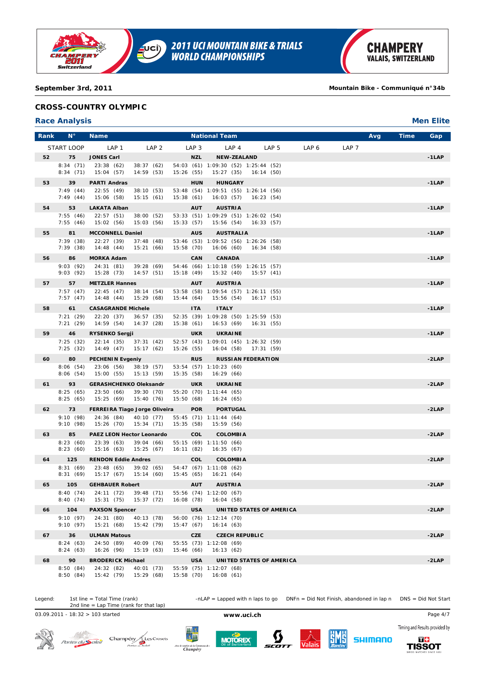

# **CROSS-COUNTRY OLYMPIC**

# **Race Analysis Men Elite**

| LAP 1<br>LAP <sub>2</sub><br>LAP <sub>4</sub><br>LAP <sub>5</sub><br>LAP 6<br>LAP <sub>7</sub><br>START LOOP<br>LAP <sub>3</sub><br>52<br>75<br><b>JONES Carl</b><br><b>NZL</b><br><b>NEW-ZEALAND</b><br>8:34(71)<br>23:38(62)<br>54:03 (61) 1:09:30 (52) 1:25:44 (52)<br>38:37(62)<br>8:34(71)<br>15:04 (57)<br>14:59(53)<br>15:26 (55)<br>15:27 (35) 16:14 (50)<br>39<br><b>HUNGARY</b><br>53<br><b>PARTI Andras</b><br><b>HUN</b><br>7:49(44)<br>22:55(49)<br>38:10(53)<br>53:48 (54) 1:09:51 (55) 1:26:14 (56)<br>7:49(44)<br>15:06 (58)<br>15:15(61)<br>15:38(61)<br>16:03(57)<br>16:23 (54)<br><b>AUSTRIA</b><br>54<br>53<br><b>LAKATA Alban</b><br><b>AUT</b><br>7:55(46)<br>22:57(51)<br>53:33 (51) 1:09:29 (51) 1:26:02 (54)<br>38:00(52)<br>7:55(46)<br>15:02(56)<br>15:03(56)<br>15:33(57)<br>15:56 (54)<br>16:33(57)<br>81<br><b>MCCONNELL Daniel</b><br><b>AUS</b><br><b>AUSTRALIA</b><br>55<br>7:39(38)<br>22:27 (39)<br>37:48(48)<br>53:46 (53) 1:09:52 (56) 1:26:26 (58)<br>7:39(38)<br>14:48(44)<br>15:21(66)<br>15:58 (70)<br>16:06 (60)<br>16:34 (58)<br><b>CANADA</b><br>86<br><b>MORKA Adam</b><br>CAN<br>56<br>9:03(92)<br>24:31 (81)<br>39:28 (69)<br>54:46 (66) 1:10:18 (59) 1:26:15 (57)<br>9:03(92)<br>15:28 (73)<br>14:57(51)<br>15:18 (49)<br>15:32(40)<br>15:57 (41)<br>57<br>57<br><b>METZLER Hannes</b><br><b>AUT</b><br><b>AUSTRIA</b><br>7:57(47)<br>22:45(47)<br>53:58 (58) 1:09:54 (57) 1:26:11 (55)<br>38:14(54)<br>7:57(47)<br>14:48(44)<br>15:29 (68)<br>15:44 (64)<br>15:56 (54)<br>16:17(51)<br>58<br>61<br><b>CASAGRANDE Michele</b><br><b>ITA</b><br><b>ITALY</b><br>7:21(29)<br>36:57(35)<br>52:35 (39) 1:09:28 (50) 1:25:59 (53)<br>22:20 (37)<br>7:21(29)<br>14:59 (54)<br>14:37(28)<br>16:53 (69)<br>15:38 (61)<br>16:31(55) | $-1LAP$<br>$-1LAP$<br>$-1LAP$<br>$-1LAP$<br>$-1LAP$<br>$-1$ LAP<br>$-1LAP$<br>$-1LAP$ |
|----------------------------------------------------------------------------------------------------------------------------------------------------------------------------------------------------------------------------------------------------------------------------------------------------------------------------------------------------------------------------------------------------------------------------------------------------------------------------------------------------------------------------------------------------------------------------------------------------------------------------------------------------------------------------------------------------------------------------------------------------------------------------------------------------------------------------------------------------------------------------------------------------------------------------------------------------------------------------------------------------------------------------------------------------------------------------------------------------------------------------------------------------------------------------------------------------------------------------------------------------------------------------------------------------------------------------------------------------------------------------------------------------------------------------------------------------------------------------------------------------------------------------------------------------------------------------------------------------------------------------------------------------------------------------------------------------------------------------------------------------------------------------|---------------------------------------------------------------------------------------|
|                                                                                                                                                                                                                                                                                                                                                                                                                                                                                                                                                                                                                                                                                                                                                                                                                                                                                                                                                                                                                                                                                                                                                                                                                                                                                                                                                                                                                                                                                                                                                                                                                                                                                                                                                                            |                                                                                       |
|                                                                                                                                                                                                                                                                                                                                                                                                                                                                                                                                                                                                                                                                                                                                                                                                                                                                                                                                                                                                                                                                                                                                                                                                                                                                                                                                                                                                                                                                                                                                                                                                                                                                                                                                                                            |                                                                                       |
|                                                                                                                                                                                                                                                                                                                                                                                                                                                                                                                                                                                                                                                                                                                                                                                                                                                                                                                                                                                                                                                                                                                                                                                                                                                                                                                                                                                                                                                                                                                                                                                                                                                                                                                                                                            |                                                                                       |
|                                                                                                                                                                                                                                                                                                                                                                                                                                                                                                                                                                                                                                                                                                                                                                                                                                                                                                                                                                                                                                                                                                                                                                                                                                                                                                                                                                                                                                                                                                                                                                                                                                                                                                                                                                            |                                                                                       |
|                                                                                                                                                                                                                                                                                                                                                                                                                                                                                                                                                                                                                                                                                                                                                                                                                                                                                                                                                                                                                                                                                                                                                                                                                                                                                                                                                                                                                                                                                                                                                                                                                                                                                                                                                                            |                                                                                       |
|                                                                                                                                                                                                                                                                                                                                                                                                                                                                                                                                                                                                                                                                                                                                                                                                                                                                                                                                                                                                                                                                                                                                                                                                                                                                                                                                                                                                                                                                                                                                                                                                                                                                                                                                                                            |                                                                                       |
|                                                                                                                                                                                                                                                                                                                                                                                                                                                                                                                                                                                                                                                                                                                                                                                                                                                                                                                                                                                                                                                                                                                                                                                                                                                                                                                                                                                                                                                                                                                                                                                                                                                                                                                                                                            |                                                                                       |
|                                                                                                                                                                                                                                                                                                                                                                                                                                                                                                                                                                                                                                                                                                                                                                                                                                                                                                                                                                                                                                                                                                                                                                                                                                                                                                                                                                                                                                                                                                                                                                                                                                                                                                                                                                            |                                                                                       |
|                                                                                                                                                                                                                                                                                                                                                                                                                                                                                                                                                                                                                                                                                                                                                                                                                                                                                                                                                                                                                                                                                                                                                                                                                                                                                                                                                                                                                                                                                                                                                                                                                                                                                                                                                                            |                                                                                       |
|                                                                                                                                                                                                                                                                                                                                                                                                                                                                                                                                                                                                                                                                                                                                                                                                                                                                                                                                                                                                                                                                                                                                                                                                                                                                                                                                                                                                                                                                                                                                                                                                                                                                                                                                                                            |                                                                                       |
|                                                                                                                                                                                                                                                                                                                                                                                                                                                                                                                                                                                                                                                                                                                                                                                                                                                                                                                                                                                                                                                                                                                                                                                                                                                                                                                                                                                                                                                                                                                                                                                                                                                                                                                                                                            |                                                                                       |
|                                                                                                                                                                                                                                                                                                                                                                                                                                                                                                                                                                                                                                                                                                                                                                                                                                                                                                                                                                                                                                                                                                                                                                                                                                                                                                                                                                                                                                                                                                                                                                                                                                                                                                                                                                            |                                                                                       |
|                                                                                                                                                                                                                                                                                                                                                                                                                                                                                                                                                                                                                                                                                                                                                                                                                                                                                                                                                                                                                                                                                                                                                                                                                                                                                                                                                                                                                                                                                                                                                                                                                                                                                                                                                                            |                                                                                       |
|                                                                                                                                                                                                                                                                                                                                                                                                                                                                                                                                                                                                                                                                                                                                                                                                                                                                                                                                                                                                                                                                                                                                                                                                                                                                                                                                                                                                                                                                                                                                                                                                                                                                                                                                                                            |                                                                                       |
|                                                                                                                                                                                                                                                                                                                                                                                                                                                                                                                                                                                                                                                                                                                                                                                                                                                                                                                                                                                                                                                                                                                                                                                                                                                                                                                                                                                                                                                                                                                                                                                                                                                                                                                                                                            |                                                                                       |
|                                                                                                                                                                                                                                                                                                                                                                                                                                                                                                                                                                                                                                                                                                                                                                                                                                                                                                                                                                                                                                                                                                                                                                                                                                                                                                                                                                                                                                                                                                                                                                                                                                                                                                                                                                            |                                                                                       |
|                                                                                                                                                                                                                                                                                                                                                                                                                                                                                                                                                                                                                                                                                                                                                                                                                                                                                                                                                                                                                                                                                                                                                                                                                                                                                                                                                                                                                                                                                                                                                                                                                                                                                                                                                                            |                                                                                       |
|                                                                                                                                                                                                                                                                                                                                                                                                                                                                                                                                                                                                                                                                                                                                                                                                                                                                                                                                                                                                                                                                                                                                                                                                                                                                                                                                                                                                                                                                                                                                                                                                                                                                                                                                                                            |                                                                                       |
| 59<br>46<br><b>RYSENKO Sergji</b><br><b>UKR</b><br><b>UKRAINE</b>                                                                                                                                                                                                                                                                                                                                                                                                                                                                                                                                                                                                                                                                                                                                                                                                                                                                                                                                                                                                                                                                                                                                                                                                                                                                                                                                                                                                                                                                                                                                                                                                                                                                                                          |                                                                                       |
| 7:25(32)<br>22:14(35)<br>37:31(42)<br>52:57 (43) 1:09:01 (45) 1:26:32 (59)                                                                                                                                                                                                                                                                                                                                                                                                                                                                                                                                                                                                                                                                                                                                                                                                                                                                                                                                                                                                                                                                                                                                                                                                                                                                                                                                                                                                                                                                                                                                                                                                                                                                                                 |                                                                                       |
| 7:25(32)<br>14:49 (47)<br>15:17(62)<br>15:26 (55)<br>16:04 (58) 17:31 (59)                                                                                                                                                                                                                                                                                                                                                                                                                                                                                                                                                                                                                                                                                                                                                                                                                                                                                                                                                                                                                                                                                                                                                                                                                                                                                                                                                                                                                                                                                                                                                                                                                                                                                                 |                                                                                       |
| 60<br>80<br><b>PECHENIN Evgeniy</b><br><b>RUS</b><br><b>RUSSIAN FEDERATION</b><br>8:06(54)<br>23:06(56)<br>38:19 (57)<br>53:54 (57) 1:10:23 (60)                                                                                                                                                                                                                                                                                                                                                                                                                                                                                                                                                                                                                                                                                                                                                                                                                                                                                                                                                                                                                                                                                                                                                                                                                                                                                                                                                                                                                                                                                                                                                                                                                           | $-2LAP$                                                                               |
| 8:06(54)<br>15:00 (55)<br>15:13(59)<br>15:35(58)<br>16:29(66)                                                                                                                                                                                                                                                                                                                                                                                                                                                                                                                                                                                                                                                                                                                                                                                                                                                                                                                                                                                                                                                                                                                                                                                                                                                                                                                                                                                                                                                                                                                                                                                                                                                                                                              |                                                                                       |
| 93<br><b>GERASHCHENKO Oleksandr</b><br><b>UKR</b><br><b>UKRAINE</b><br>61                                                                                                                                                                                                                                                                                                                                                                                                                                                                                                                                                                                                                                                                                                                                                                                                                                                                                                                                                                                                                                                                                                                                                                                                                                                                                                                                                                                                                                                                                                                                                                                                                                                                                                  | $-2LAP$                                                                               |
| 8:25(65)<br>23:50(66)<br>39:30 (70)<br>55:20 (70) 1:11:44 (65)<br>8:25(65)<br>15:25 (69)<br>15:40 (76)<br>15:50(68)<br>16:24(65)                                                                                                                                                                                                                                                                                                                                                                                                                                                                                                                                                                                                                                                                                                                                                                                                                                                                                                                                                                                                                                                                                                                                                                                                                                                                                                                                                                                                                                                                                                                                                                                                                                           |                                                                                       |
| 62<br>73<br>FERREIRA Tiago Jorge Oliveira<br><b>POR</b><br><b>PORTUGAL</b>                                                                                                                                                                                                                                                                                                                                                                                                                                                                                                                                                                                                                                                                                                                                                                                                                                                                                                                                                                                                                                                                                                                                                                                                                                                                                                                                                                                                                                                                                                                                                                                                                                                                                                 | $-2LAP$                                                                               |
| 9:10(98)<br>24:36 (84)<br>40:10 (77)<br>55:45 (71) 1:11:44 (64)                                                                                                                                                                                                                                                                                                                                                                                                                                                                                                                                                                                                                                                                                                                                                                                                                                                                                                                                                                                                                                                                                                                                                                                                                                                                                                                                                                                                                                                                                                                                                                                                                                                                                                            |                                                                                       |
| 9:10(98)<br>15:26 (70)<br>15:34 (71)<br>15:35(58)<br>15:59 (56)                                                                                                                                                                                                                                                                                                                                                                                                                                                                                                                                                                                                                                                                                                                                                                                                                                                                                                                                                                                                                                                                                                                                                                                                                                                                                                                                                                                                                                                                                                                                                                                                                                                                                                            |                                                                                       |
| 63<br>85<br>PAEZ LEON Hector Leonardo<br><b>COL</b><br><b>COLOMBIA</b>                                                                                                                                                                                                                                                                                                                                                                                                                                                                                                                                                                                                                                                                                                                                                                                                                                                                                                                                                                                                                                                                                                                                                                                                                                                                                                                                                                                                                                                                                                                                                                                                                                                                                                     | $-2LAP$                                                                               |
| 8:23(60)<br>23:39(63)<br>55:15 (69) 1:11:50 (66)<br>39:04(66)<br>8:23(60)<br>15:25(67)<br>16:11 (82)<br>15:16(63)<br>16:35 (67)                                                                                                                                                                                                                                                                                                                                                                                                                                                                                                                                                                                                                                                                                                                                                                                                                                                                                                                                                                                                                                                                                                                                                                                                                                                                                                                                                                                                                                                                                                                                                                                                                                            |                                                                                       |
| COL<br>64<br>125<br><b>RENDON Eddie Andres</b><br><b>COLOMBIA</b>                                                                                                                                                                                                                                                                                                                                                                                                                                                                                                                                                                                                                                                                                                                                                                                                                                                                                                                                                                                                                                                                                                                                                                                                                                                                                                                                                                                                                                                                                                                                                                                                                                                                                                          | $-2LAP$                                                                               |
| 8:31(69)<br>23:48(65)<br>39:02(65)<br>54:47 (67) 1:11:08 (62)                                                                                                                                                                                                                                                                                                                                                                                                                                                                                                                                                                                                                                                                                                                                                                                                                                                                                                                                                                                                                                                                                                                                                                                                                                                                                                                                                                                                                                                                                                                                                                                                                                                                                                              |                                                                                       |
| 8:31(69)<br>15:17 (67)<br>15:14(60)<br>15:45 (65)<br>16:21 (64)                                                                                                                                                                                                                                                                                                                                                                                                                                                                                                                                                                                                                                                                                                                                                                                                                                                                                                                                                                                                                                                                                                                                                                                                                                                                                                                                                                                                                                                                                                                                                                                                                                                                                                            |                                                                                       |
| 65<br>105<br><b>GEHBAUER Robert</b><br><b>AUT</b><br><b>AUSTRIA</b><br>55:56 (74) 1:12:00 (67)<br>8:40 (74) 24:11 (72) 39:48 (71)                                                                                                                                                                                                                                                                                                                                                                                                                                                                                                                                                                                                                                                                                                                                                                                                                                                                                                                                                                                                                                                                                                                                                                                                                                                                                                                                                                                                                                                                                                                                                                                                                                          | $-2LAP$                                                                               |
| 8:40 (74) 15:31 (75) 15:37 (72) 16:08 (78) 16:04 (58)                                                                                                                                                                                                                                                                                                                                                                                                                                                                                                                                                                                                                                                                                                                                                                                                                                                                                                                                                                                                                                                                                                                                                                                                                                                                                                                                                                                                                                                                                                                                                                                                                                                                                                                      |                                                                                       |
| 104<br><b>PAXSON Spencer</b><br><b>USA</b><br>UNITED STATES OF AMERICA<br>66                                                                                                                                                                                                                                                                                                                                                                                                                                                                                                                                                                                                                                                                                                                                                                                                                                                                                                                                                                                                                                                                                                                                                                                                                                                                                                                                                                                                                                                                                                                                                                                                                                                                                               | $-2LAP$                                                                               |
| 9:10(97)<br>24:31 (80)<br>40:13 (78)<br>56:00 (76) 1:12:14 (70)<br>9:10(97)<br>15:21(68)<br>15:42 (79)<br>15:47(67)<br>16:14(63)                                                                                                                                                                                                                                                                                                                                                                                                                                                                                                                                                                                                                                                                                                                                                                                                                                                                                                                                                                                                                                                                                                                                                                                                                                                                                                                                                                                                                                                                                                                                                                                                                                           |                                                                                       |
| 36<br>CZE<br><b>CZECH REPUBLIC</b><br>67<br><b>ULMAN Matous</b>                                                                                                                                                                                                                                                                                                                                                                                                                                                                                                                                                                                                                                                                                                                                                                                                                                                                                                                                                                                                                                                                                                                                                                                                                                                                                                                                                                                                                                                                                                                                                                                                                                                                                                            | $-2LAP$                                                                               |
| 8:24(63)<br>24:50 (89)<br>40:09 (76)<br>55:55 (73) 1:12:08 (69)                                                                                                                                                                                                                                                                                                                                                                                                                                                                                                                                                                                                                                                                                                                                                                                                                                                                                                                                                                                                                                                                                                                                                                                                                                                                                                                                                                                                                                                                                                                                                                                                                                                                                                            |                                                                                       |
| 8:24(63)<br>16:26 (96)<br>15:19(63)<br>15:46(66)<br>16:13(62)                                                                                                                                                                                                                                                                                                                                                                                                                                                                                                                                                                                                                                                                                                                                                                                                                                                                                                                                                                                                                                                                                                                                                                                                                                                                                                                                                                                                                                                                                                                                                                                                                                                                                                              |                                                                                       |
| 90<br><b>USA</b><br>UNITED STATES OF AMERICA<br>68<br><b>BRODERICK Michael</b>                                                                                                                                                                                                                                                                                                                                                                                                                                                                                                                                                                                                                                                                                                                                                                                                                                                                                                                                                                                                                                                                                                                                                                                                                                                                                                                                                                                                                                                                                                                                                                                                                                                                                             | $-2LAP$                                                                               |
| 8:50(84)<br>24:32 (82)<br>40:01 (73)<br>55:59 (75) 1:12:07 (68)<br>15:42 (79)<br>15:29 (68)<br>8:50(84)<br>15:58 (70) 16:08 (61)                                                                                                                                                                                                                                                                                                                                                                                                                                                                                                                                                                                                                                                                                                                                                                                                                                                                                                                                                                                                                                                                                                                                                                                                                                                                                                                                                                                                                                                                                                                                                                                                                                           |                                                                                       |



03.09.2011 - 18:32 > 103 started **www.uci.ch** Page 4/7













**TISSOT**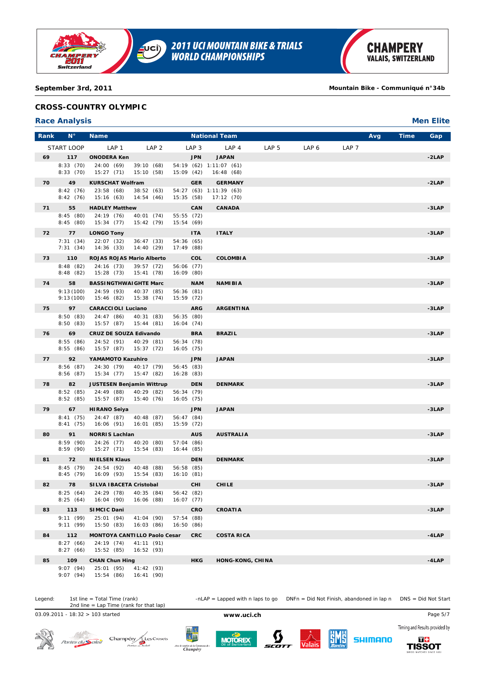

# **CROSS-COUNTRY OLYMPIC**

# **Race Analysis Men Elite**

| Rank | $N^{\circ}$            | <b>Name</b>                                                 |                          | <b>National Team</b>                 |                  |       |                  | Avg | <b>Time</b> | Gap      |
|------|------------------------|-------------------------------------------------------------|--------------------------|--------------------------------------|------------------|-------|------------------|-----|-------------|----------|
|      | START LOOP             | LAP 1<br>LAP <sub>2</sub>                                   | LAP <sub>3</sub>         | LAP 4                                | LAP <sub>5</sub> | LAP 6 | LAP <sub>7</sub> |     |             |          |
| 69   | 117                    | <b>ONODERA Ken</b>                                          | <b>JPN</b>               | <b>JAPAN</b>                         |                  |       |                  |     |             | $-2LAP$  |
|      | 8:33(70)<br>8:33(70)   | 24:00 (69)<br>39:10(68)<br>15:27(71)<br>15:10(58)           | 15:09 (42)               | 54:19 (62) 1:11:07 (61)<br>16:48(68) |                  |       |                  |     |             |          |
| 70   | 49                     | <b>KURSCHAT Wolfram</b>                                     | <b>GER</b>               | <b>GERMANY</b>                       |                  |       |                  |     |             | $-2LAP$  |
|      | 8:42(76)<br>8:42(76)   | 23:58(68)<br>38:52(63)<br>15:16 (63)<br>14:54(46)           | 15:35 (58)               | 54:27 (63) 1:11:39 (63)<br>17:12(70) |                  |       |                  |     |             |          |
| 71   | 55                     | <b>HADLEY Matthew</b>                                       | CAN                      | <b>CANADA</b>                        |                  |       |                  |     |             | $-3LAP$  |
|      | 8:45(80)<br>8:45(80)   | 24:19 (76)<br>40:01 (74)<br>15:34(77)<br>15:42 (79)         | 55:55 (72)<br>15:54 (69) |                                      |                  |       |                  |     |             |          |
| 72   | 77                     | <b>LONGO Tony</b>                                           | <b>ITA</b>               | <b>ITALY</b>                         |                  |       |                  |     |             | $-3LAP$  |
|      | 7:31(34)<br>7:31(34)   | 22:07 (32)<br>36:47(33)<br>14:40 (29)<br>14:36(33)          | 54:36 (65)<br>17:49(88)  |                                      |                  |       |                  |     |             |          |
| 73   | 110                    | ROJAS ROJAS Mario Alberto                                   | COL                      | <b>COLOMBIA</b>                      |                  |       |                  |     |             | -3LAP    |
|      | 8:48(82)<br>8:48(82)   | 24:16 (73)<br>39:57 (72)<br>15:28 (73)<br>15:41(78)         | 56:06 (77)<br>16:09 (80) |                                      |                  |       |                  |     |             |          |
| 74   | 58                     | <b>BASSINGTHWAIGHTE Marc</b>                                | <b>NAM</b>               | <b>NAMIBIA</b>                       |                  |       |                  |     |             | -3LAP    |
|      | 9:13(100)<br>9:13(100) | 24:59 (93)<br>40:37 (85)<br>15:46 (82)<br>15:38(74)         | 56:36 (81)<br>15:59 (72) |                                      |                  |       |                  |     |             |          |
| 75   | 97                     | <b>CARACCIOLI Luciano</b>                                   | <b>ARG</b>               | <b>ARGENTINA</b>                     |                  |       |                  |     |             | -3LAP    |
|      | 8:50(83)<br>8:50(83)   | 24:47 (86)<br>40:31 (83)<br>15:57 (87)<br>15:44 (81)        | 56:35 (80)<br>16:04(74)  |                                      |                  |       |                  |     |             |          |
| 76   | 69                     | <b>CRUZ DE SOUZA Edivando</b>                               | <b>BRA</b>               | <b>BRAZIL</b>                        |                  |       |                  |     |             | -3LAP    |
|      | 8:55(86)<br>8:55(86)   | 24:52 (91)<br>40:29 (81)<br>15:57(87)<br>15:37(72)          | 56:34 (78)<br>16:05 (75) |                                      |                  |       |                  |     |             |          |
| 77   | 92                     | YAMAMOTO Kazuhiro                                           | <b>JPN</b>               | <b>JAPAN</b>                         |                  |       |                  |     |             | -3LAP    |
|      | 8:56(87)<br>8:56(87)   | 24:30 (79)<br>40:17 (79)<br>15:47 (82)<br>15:34 (77)        | 56:45 (83)<br>16:28(83)  |                                      |                  |       |                  |     |             |          |
| 78   | 82                     | <b>JUSTESEN Benjamin Wittrup</b>                            | <b>DEN</b>               | <b>DENMARK</b>                       |                  |       |                  |     |             | -3LAP    |
|      | 8:52(85)<br>8:52(85)   | 24:49 (88)<br>40:29 (82)<br>15:57 (87)<br>15:40(76)         | 56:34 (79)<br>16:05(75)  |                                      |                  |       |                  |     |             |          |
| 79   | 67                     | <b>HIRANO Seiya</b>                                         | <b>JPN</b>               | <b>JAPAN</b>                         |                  |       |                  |     |             | -3LAP    |
|      | 8:41(75)<br>8:41(75)   | 24:47 (87)<br>40:48 (87)<br>16:06 (91)<br>16:01(85)         | 56:47(84)<br>15:59 (72)  |                                      |                  |       |                  |     |             |          |
| 80   | 91                     | <b>NORRIS Lachlan</b>                                       | <b>AUS</b>               | <b>AUSTRALIA</b>                     |                  |       |                  |     |             | -3LAP    |
|      | 8:59(90)<br>8:59(90)   | 24:26(77)<br>40:20 (80)<br>15:27(71)<br>15:54 (83)          | 57:04 (86)<br>16:44 (85) |                                      |                  |       |                  |     |             |          |
| 81   | 72                     | <b>NIELSEN Klaus</b>                                        | <b>DEN</b>               | <b>DENMARK</b>                       |                  |       |                  |     |             | -3LAP    |
|      | 8:45(79)<br>8:45(79)   | 24:54 (92)<br>40:48 (88)<br>16:09 (93)<br>15:54 (83)        | 56:58 (85)<br>16:10(81)  |                                      |                  |       |                  |     |             |          |
| 82   | 78                     | SILVA IBACETA Cristobal                                     | <b>CHI</b>               | <b>CHILE</b>                         |                  |       |                  |     |             | -3LAP    |
|      | 8:25(64)<br>8:25(64)   | 24:29 (78)<br>40:35 (84)<br>16:04 (90)<br>16:06 (88)        | 56:42 (82)<br>16:07 (77) |                                      |                  |       |                  |     |             |          |
| 83   | 113                    | <b>SIMCIC Dani</b>                                          | CRO                      | <b>CROATIA</b>                       |                  |       |                  |     |             | -3LAP    |
|      | 9:11(99)<br>9:11(99)   | 25:01 (94)<br>41:04 (90)<br>15:50(83)<br>16:03(86)          | 57:54 (88)<br>16:50(86)  |                                      |                  |       |                  |     |             |          |
| 84   | 112                    | <b>MONTOYA CANTILLO Paolo Cesar</b>                         | <b>CRC</b>               | <b>COSTA RICA</b>                    |                  |       |                  |     |             | $-4$ LAP |
|      | 8:27(66)<br>8:27(66)   | 24:19 (74)<br>41:11 (91)<br>15:52 (85)<br>16:52(93)         |                          |                                      |                  |       |                  |     |             |          |
| 85   | 109                    | <b>CHAN Chun Hing</b>                                       | HKG                      | <b>HONG-KONG, CHINA</b>              |                  |       |                  |     |             | $-4LAP$  |
|      | 9:07(94)               | 25:01 (95)<br>41:42 (93)<br>9:07 (94) 15:54 (86) 16:41 (90) |                          |                                      |                  |       |                  |     |             |          |

Legend: 1st line = Total Time (rank) -nLAP = Lapped with n laps to go DNFn = Did Not Finish, abandoned in lap n DNS = Did Not Start 1st line = Total Time (rank)<br>2nd line = Lap Time (rank for that lap)

03.09.2011 - 18:32 > 103 started **www.uci.ch** Page 5/7



 $\mathcal{A}^{(t)}$ Champéry<br>Portes as Soleil Portes du Soleil







Timing and Results provided by **SHIMANO**  $\overline{a}$ **TISSOT**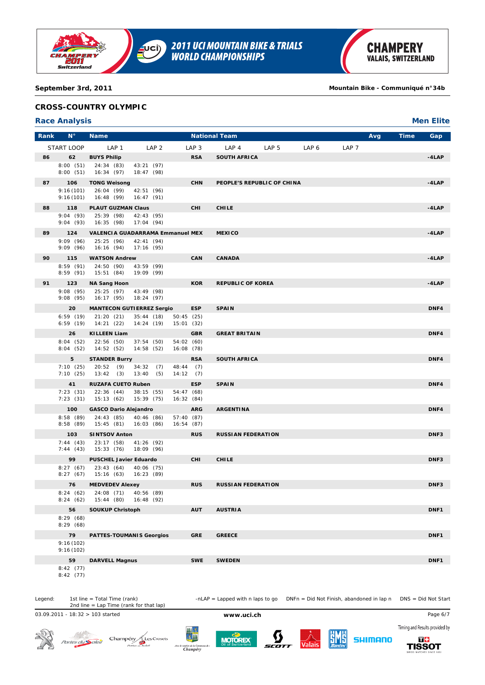

# **CROSS-COUNTRY OLYMPIC**

# **Race Analysis Men Elite**

| Rank | $N^{\circ}$            | <b>Name</b>                                           |                         |                          |                  | <b>National Team</b>       |                  |                  |                  | Avg | Time | Gap      |
|------|------------------------|-------------------------------------------------------|-------------------------|--------------------------|------------------|----------------------------|------------------|------------------|------------------|-----|------|----------|
|      | START LOOP             | LAP 1                                                 | LAP <sub>2</sub>        |                          | LAP <sub>3</sub> | LAP <sub>4</sub>           | LAP <sub>5</sub> | LAP <sub>6</sub> | LAP <sub>7</sub> |     |      |          |
| 86   | 62                     | <b>BUYS Philip</b>                                    |                         |                          | <b>RSA</b>       | <b>SOUTH AFRICA</b>        |                  |                  |                  |     |      | $-4$ LAP |
|      | 8:00(51)               | 24:34 (83)                                            | 43:21 (97)              |                          |                  |                            |                  |                  |                  |     |      |          |
|      | 8:00(51)               | 16:34 (97)                                            | 18:47 (98)              |                          |                  |                            |                  |                  |                  |     |      |          |
| 87   | 106                    | <b>TONG Weisong</b>                                   |                         |                          | <b>CHN</b>       | PEOPLE'S REPUBLIC OF CHINA |                  |                  |                  |     |      | $-4LAP$  |
|      | 9:16(101)<br>9:16(101) | 26:04 (99)<br>16:48 (99)                              | 42:51 (96)<br>16:47(91) |                          |                  |                            |                  |                  |                  |     |      |          |
| 88   | 118                    | <b>PLAUT GUZMAN Claus</b>                             |                         |                          | <b>CHI</b>       | <b>CHILE</b>               |                  |                  |                  |     |      | $-4$ LAP |
|      | 9:04(93)               | 25:39 (98)                                            | 42:43 (95)              |                          |                  |                            |                  |                  |                  |     |      |          |
|      | 9:04(93)               | 16:35 (98)                                            | 17:04(94)               |                          |                  |                            |                  |                  |                  |     |      |          |
| 89   | 124<br>9:09(96)        | <b>VALENCIA GUADARRAMA Emmanuel MEX</b><br>25:25 (96) | 42:41 (94)              |                          |                  | <b>MEXICO</b>              |                  |                  |                  |     |      | $-4$ LAP |
|      | 9:09(96)               | 16:16 (94)                                            | 17:16 (95)              |                          |                  |                            |                  |                  |                  |     |      |          |
| 90   | 115                    | <b>WATSON Andrew</b>                                  |                         |                          | CAN              | <b>CANADA</b>              |                  |                  |                  |     |      | $-4LAP$  |
|      | 8:59(91)               | 24:50 (90)                                            | 43:59 (99)              |                          |                  |                            |                  |                  |                  |     |      |          |
|      | 8:59(91)               | 15:51 (84)                                            | 19:09 (99)              |                          |                  |                            |                  |                  |                  |     |      |          |
| 91   | 123<br>9:08(95)        | <b>NA Sang Hoon</b><br>25:25(97)                      | 43:49 (98)              |                          | <b>KOR</b>       | <b>REPUBLIC OF KOREA</b>   |                  |                  |                  |     |      | $-4$ LAP |
|      | 9:08(95)               | 16:17 (95)                                            | 18:24 (97)              |                          |                  |                            |                  |                  |                  |     |      |          |
|      | 20                     | <b>MANTECON GUTIERREZ Sergio</b>                      |                         |                          | <b>ESP</b>       | <b>SPAIN</b>               |                  |                  |                  |     |      | DNF4     |
|      | 6:59(19)               | 21:20(21)                                             | 35:44(18)               | 50:45(25)                |                  |                            |                  |                  |                  |     |      |          |
|      | 6:59(19)               | 14:21 (22)                                            | 14:24(19)               | 15:01 (32)               |                  |                            |                  |                  |                  |     |      |          |
|      | 26<br>8:04(52)         | <b>KILLEEN Liam</b><br>22:56(50)                      | 37:54(50)               | 54:02 (60)               | <b>GBR</b>       | <b>GREAT BRITAIN</b>       |                  |                  |                  |     |      | DNF4     |
|      | 8:04(52)               | 14:52 (52)                                            | 14:58 (52)              | 16:08 (78)               |                  |                            |                  |                  |                  |     |      |          |
|      | 5                      | <b>STANDER Burry</b>                                  |                         |                          | <b>RSA</b>       | <b>SOUTH AFRICA</b>        |                  |                  |                  |     |      | DNF4     |
|      | 7:10(25)               | 20:52(9)                                              | 34:32(7)                | 48:44 (7)                |                  |                            |                  |                  |                  |     |      |          |
|      | 7:10(25)               | 13:42(3)                                              | 13:40<br>(5)            | 14:12(7)                 |                  |                            |                  |                  |                  |     |      |          |
|      | 41<br>7:23(31)         | <b>RUZAFA CUETO Ruben</b><br>22:36(44)                | 38:15 (55)              | 54:47 (68)               | <b>ESP</b>       | <b>SPAIN</b>               |                  |                  |                  |     |      | DNF4     |
|      | 7:23(31)               | 15:13 (62)                                            | 15:39 (75)              | 16:32(84)                |                  |                            |                  |                  |                  |     |      |          |
|      | 100                    | <b>GASCO Dario Alejandro</b>                          |                         |                          | <b>ARG</b>       | <b>ARGENTINA</b>           |                  |                  |                  |     |      | DNF4     |
|      | 8:58(89)<br>8:58(89)   | 24:43 (85)<br>15:45(81)                               | 40:46 (86)<br>16:03(86) | 57:40 (87)<br>16:54 (87) |                  |                            |                  |                  |                  |     |      |          |
|      | 103                    |                                                       |                         |                          | <b>RUS</b>       | <b>RUSSIAN FEDERATION</b>  |                  |                  |                  |     |      | DNF3     |
|      | 7:44(43)               | <b>SINTSOV Anton</b><br>23:17 (58)                    | 41:26 (92)              |                          |                  |                            |                  |                  |                  |     |      |          |
|      | 7:44(43)               | 15:33 (76)                                            | 18:09 (96)              |                          |                  |                            |                  |                  |                  |     |      |          |
|      | 99                     | <b>PUSCHEL Javier Eduardo</b>                         |                         |                          | CHI              | <b>CHILE</b>               |                  |                  |                  |     |      | DNF3     |
|      | 8:27(67)<br>8:27(67)   | 23:43 (64) 40:06 (75)<br>15:16 (63)                   | 16:23 (89)              |                          |                  |                            |                  |                  |                  |     |      |          |
|      | 76                     | <b>MEDVEDEV Alexey</b>                                |                         |                          | <b>RUS</b>       | <b>RUSSIAN FEDERATION</b>  |                  |                  |                  |     |      | DNF3     |
|      |                        | 8:24 (62) 24:08 (71) 40:56 (89)                       |                         |                          |                  |                            |                  |                  |                  |     |      |          |
|      | 8:24(62)               | 15:44 (80)                                            | 16:48 (92)              |                          |                  |                            |                  |                  |                  |     |      |          |
|      | 56                     | <b>SOUKUP Christoph</b>                               |                         |                          | <b>AUT</b>       | <b>AUSTRIA</b>             |                  |                  |                  |     |      | DNF1     |
|      | 8:29(68)<br>8:29(68)   |                                                       |                         |                          |                  |                            |                  |                  |                  |     |      |          |
|      | 79                     | <b>PATTES-TOUMANIS Georgios</b>                       |                         |                          | <b>GRE</b>       | <b>GREECE</b>              |                  |                  |                  |     |      | DNF1     |
|      | 9:16(102)              |                                                       |                         |                          |                  |                            |                  |                  |                  |     |      |          |
|      | 9:16(102)              |                                                       |                         |                          |                  |                            |                  |                  |                  |     |      |          |
|      | 59                     | <b>DARVELL Magnus</b>                                 |                         |                          | <b>SWE</b>       | <b>SWEDEN</b>              |                  |                  |                  |     |      | DNF1     |
|      | 8:42(77)<br>8:42(77)   |                                                       |                         |                          |                  |                            |                  |                  |                  |     |      |          |

1st line = Total Time (rank)<br>2nd line = Lap Time (rank for that lap)

Legend: 1st line = Total Time (rank) -nLAP = Lapped with n laps to go DNFn = Did Not Finish, abandoned in lap n DNS = Did Not Start

03.09.2011 - 18:32 > 103 started **www.uci.ch** Page 6/7

 $\mathcal{A}^{(t)}$ 









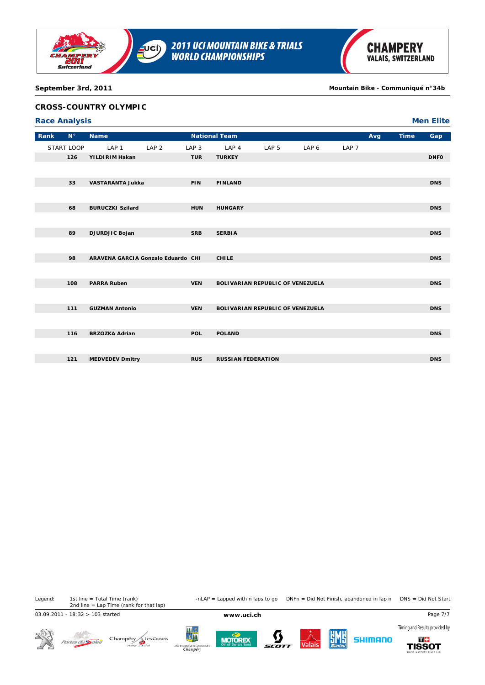

# **CROSS-COUNTRY OLYMPIC**

|      | <b>Race Analysis</b> |                                    |                  |                  |                           |                                  |       |                  |     |             | <b>Men Elite</b> |
|------|----------------------|------------------------------------|------------------|------------------|---------------------------|----------------------------------|-------|------------------|-----|-------------|------------------|
| Rank | $N^{\circ}$          | <b>Name</b>                        |                  |                  | <b>National Team</b>      |                                  |       |                  | Avg | <b>Time</b> | Gap              |
|      | START LOOP           | LAP <sub>1</sub>                   | LAP <sub>2</sub> | LAP <sub>3</sub> | LAP 4                     | LAP <sub>5</sub>                 | LAP 6 | LAP <sub>7</sub> |     |             |                  |
|      | 126                  | YILDIRIM Hakan                     |                  | <b>TUR</b>       | <b>TURKEY</b>             |                                  |       |                  |     |             | <b>DNFO</b>      |
|      |                      |                                    |                  |                  |                           |                                  |       |                  |     |             |                  |
|      | 33                   | <b>VASTARANTA Jukka</b>            |                  | <b>FIN</b>       | <b>FINLAND</b>            |                                  |       |                  |     |             | <b>DNS</b>       |
|      |                      |                                    |                  |                  |                           |                                  |       |                  |     |             |                  |
|      | 68                   | <b>BURUCZKI Szilard</b>            |                  | <b>HUN</b>       | <b>HUNGARY</b>            |                                  |       |                  |     |             | <b>DNS</b>       |
|      |                      |                                    |                  |                  |                           |                                  |       |                  |     |             |                  |
|      | 89                   | DJURDJIC Bojan                     |                  | <b>SRB</b>       | <b>SERBIA</b>             |                                  |       |                  |     |             | <b>DNS</b>       |
|      |                      |                                    |                  |                  |                           |                                  |       |                  |     |             |                  |
|      | 98                   | ARAVENA GARCIA Gonzalo Eduardo CHI |                  |                  | <b>CHILE</b>              |                                  |       |                  |     |             | <b>DNS</b>       |
|      |                      |                                    |                  |                  |                           |                                  |       |                  |     |             |                  |
|      |                      |                                    |                  |                  |                           |                                  |       |                  |     |             |                  |
|      | 108                  | <b>PARRA Ruben</b>                 |                  | <b>VEN</b>       |                           | BOLIVARIAN REPUBLIC OF VENEZUELA |       |                  |     |             | <b>DNS</b>       |
|      |                      |                                    |                  |                  |                           |                                  |       |                  |     |             |                  |
|      | 111                  | <b>GUZMAN Antonio</b>              |                  | <b>VEN</b>       |                           | BOLIVARIAN REPUBLIC OF VENEZUELA |       |                  |     |             | <b>DNS</b>       |
|      |                      |                                    |                  |                  |                           |                                  |       |                  |     |             |                  |
|      | 116                  | <b>BRZOZKA Adrian</b>              |                  | <b>POL</b>       | <b>POLAND</b>             |                                  |       |                  |     |             | <b>DNS</b>       |
|      |                      |                                    |                  |                  |                           |                                  |       |                  |     |             |                  |
|      | 121                  | <b>MEDVEDEV Dmitry</b>             |                  | <b>RUS</b>       | <b>RUSSIAN FEDERATION</b> |                                  |       |                  |     |             | <b>DNS</b>       |
|      |                      |                                    |                  |                  |                           |                                  |       |                  |     |             |                  |

Legend: 1st line = Total Time (rank) -nLAP = Lapped with n laps to go DNFn = Did Not Finish, abandoned in lap n DNS = Did Not Start 1st line = Total Time (rank)<br>2nd line = Lap Time (rank for that lap)

03.09.2011 - 18:32 > 103 started **www.uci.ch** Page 7/7

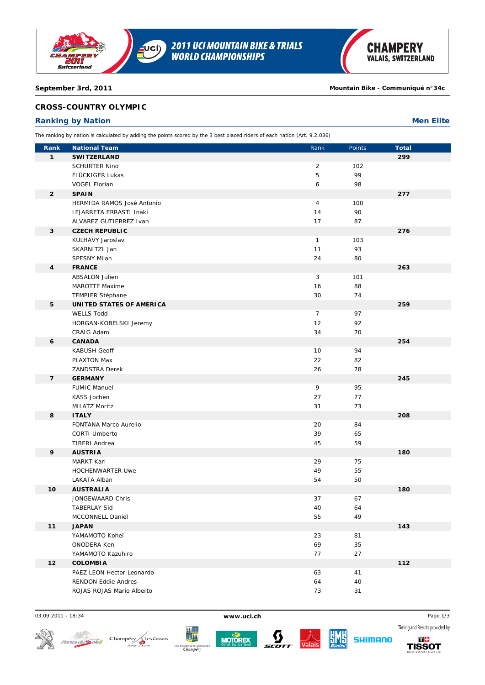

# **CROSS-COUNTRY OLYMPIC**

# **Ranking by Nation Men Elite**

The ranking by nation is calculated by adding the points scored by the 3 best placed riders of each nation (Art. 9.2.036)

| Rank           | <b>National Team</b>                                | Rank           | Points    | <b>Total</b> |
|----------------|-----------------------------------------------------|----------------|-----------|--------------|
| $\mathbf{1}$   | <b>SWITZERLAND</b>                                  |                |           | 299          |
|                | <b>SCHURTER Nino</b>                                | $\overline{2}$ | 102       |              |
|                | FLÜCKIGER Lukas                                     | 5              | 99        |              |
|                | <b>VOGEL Florian</b>                                | 6              | 98        |              |
| $\overline{2}$ | <b>SPAIN</b>                                        |                |           | 277          |
|                | HERMIDA RAMOS José Antonio                          | $\overline{4}$ | 100       |              |
|                | LEJARRETA ERRASTI Inaki                             | 14             | 90        |              |
|                | ALVAREZ GUTIERREZ Ivan                              | 17             | 87        |              |
| 3              | <b>CZECH REPUBLIC</b>                               |                |           | 276          |
|                | KULHAVY Jaroslav                                    | $\mathbf{1}$   | 103       |              |
|                | SKARNITZL Jan                                       | 11             | 93        |              |
|                | <b>SPESNY Milan</b>                                 | 24             | 80        |              |
| 4              | <b>FRANCE</b>                                       |                |           | 263          |
|                | <b>ABSALON Julien</b>                               | 3<br>16        | 101<br>88 |              |
|                | MAROTTE Maxime                                      |                |           |              |
| 5              | <b>TEMPIER Stéphane</b><br>UNITED STATES OF AMERICA | 30             | 74        | 259          |
|                | <b>WELLS Todd</b>                                   | $\overline{7}$ | 97        |              |
|                | HORGAN-KOBELSKI Jeremy                              | 12             | 92        |              |
|                | CRAIG Adam                                          | 34             | 70        |              |
| 6              | <b>CANADA</b>                                       |                |           | 254          |
|                | <b>KABUSH Geoff</b>                                 | 10             | 94        |              |
|                | <b>PLAXTON Max</b>                                  | 22             | 82        |              |
|                | <b>ZANDSTRA Derek</b>                               | 26             | 78        |              |
| $\overline{7}$ | <b>GERMANY</b>                                      |                |           | 245          |
|                | <b>FUMIC Manuel</b>                                 | 9              | 95        |              |
|                | KASS Jochen                                         | 27             | 77        |              |
|                | MILATZ Moritz                                       | 31             | 73        |              |
| 8              | <b>ITALY</b>                                        |                |           | 208          |
|                | FONTANA Marco Aurelio                               | 20             | 84        |              |
|                | <b>CORTI Umberto</b>                                | 39             | 65        |              |
|                | <b>TIBERI Andrea</b>                                | 45             | 59        |              |
| 9              | <b>AUSTRIA</b>                                      |                |           | 180          |
|                | <b>MARKT Karl</b>                                   | 29             | 75        |              |
|                | <b>HOCHENWARTER Uwe</b>                             | 49             | 55        |              |
|                | LAKATA Alban                                        | 54             | 50        |              |
| 10             | <b>AUSTRALIA</b>                                    |                |           | 180          |
|                | JONGEWAARD Chris                                    | 37             | 67        |              |
|                | <b>TABERLAY Sid</b><br>MCCONNELL Daniel             | 40<br>55       | 64<br>49  |              |
| 11             | <b>JAPAN</b>                                        |                |           | 143          |
|                | YAMAMOTO Kohei                                      | 23             | 81        |              |
|                | ONODERA Ken                                         | 69             | 35        |              |
|                | YAMAMOTO Kazuhiro                                   | 77             | 27        |              |
| 12             | <b>COLOMBIA</b>                                     |                |           | 112          |
|                | PAEZ LEON Hector Leonardo                           | 63             | 41        |              |
|                | <b>RENDON Eddie Andres</b>                          | 64             | 40        |              |
|                | ROJAS ROJAS Mario Alberto                           | 73             | 31        |              |
|                |                                                     |                |           |              |

03.09.2011 - 18:34 **www.uci.ch** Page 1/3









**SHIMANO** 

Timing and Results provided by 56

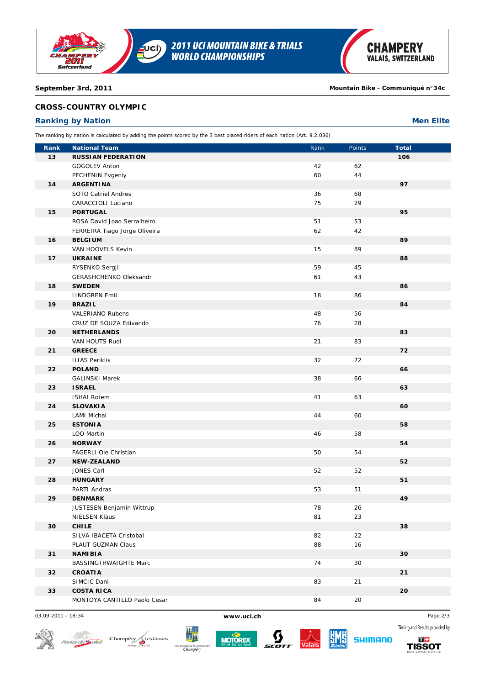

# **CROSS-COUNTRY OLYMPIC**

# **Ranking by Nation Men Elite**

The ranking by nation is calculated by adding the points scored by the 3 best placed riders of each nation (Art. 9.2.036)

| Rank | <b>National Team</b>                          | Rank       | Points | <b>Total</b> |
|------|-----------------------------------------------|------------|--------|--------------|
| 13   | <b>RUSSIAN FEDERATION</b>                     |            |        | 106          |
|      | GOGOLEV Anton                                 | 42         | 62     |              |
|      | PECHENIN Evgeniy                              | 60         | 44     |              |
| 14   | <b>ARGENTINA</b>                              |            |        | 97           |
|      | SOTO Catriel Andres                           | 36         | 68     |              |
|      | CARACCIOLI Luciano                            | 75         | 29     |              |
| 15   | <b>PORTUGAL</b>                               |            |        | 95           |
|      | ROSA David Joao Serralheiro                   | 51         | 53     |              |
|      | FERREIRA Tiago Jorge Oliveira                 | 62         | 42     |              |
| 16   | <b>BELGIUM</b>                                |            |        | 89           |
|      | VAN HOOVELS Kevin                             | 15         | 89     |              |
| 17   | <b>UKRAINE</b>                                |            |        | 88           |
|      | RYSENKO Sergji                                | 59         | 45     |              |
|      | GERASHCHENKO Oleksandr                        | 61         | 43     |              |
| 18   | <b>SWEDEN</b>                                 |            |        | 86           |
|      | <b>LINDGREN Emil</b>                          | 18         | 86     |              |
| 19   | <b>BRAZIL</b>                                 |            |        | 84           |
|      | <b>VALERIANO Rubens</b>                       | 48         | 56     |              |
|      | CRUZ DE SOUZA Edivando                        | 76         | 28     |              |
| 20   | <b>NETHERLANDS</b>                            |            |        | 83           |
|      | VAN HOUTS Rudi                                | 21         | 83     |              |
| 21   | <b>GREECE</b>                                 |            |        | 72           |
|      | <b>ILIAS Periklis</b>                         | 32         | 72     |              |
| 22   | <b>POLAND</b>                                 |            |        | 66           |
|      | <b>GALINSKI Marek</b>                         | 38         | 66     |              |
| 23   | <b>ISRAEL</b>                                 |            |        | 63           |
|      | <b>ISHAI Rotem</b>                            | 41         | 63     |              |
| 24   | <b>SLOVAKIA</b>                               |            |        | 60           |
|      | <b>LAMI Michal</b>                            | 44         | 60     |              |
| 25   | <b>ESTONIA</b>                                |            |        | 58           |
|      | LOO Martin                                    | 46         | 58     |              |
| 26   | <b>NORWAY</b>                                 |            |        | 54           |
|      | FAGERLI Ole Christian                         | 50         | 54     |              |
| 27   | <b>NEW-ZEALAND</b>                            |            |        | 52           |
|      | JONES Carl                                    | 52         | 52     |              |
| 28   | <b>HUNGARY</b>                                |            |        | 51           |
|      | PARTI Andras                                  | 53         | 51     |              |
| 29   | <b>DENMARK</b>                                |            |        | 49           |
|      | JUSTESEN Benjamin Wittrup                     | ${\bf 78}$ | $26\,$ |              |
|      | <b>NIELSEN Klaus</b>                          | 81         | 23     |              |
| 30   | <b>CHILE</b>                                  |            | 22     | 38           |
|      | SILVA IBACETA Cristobal<br>PLAUT GUZMAN Claus | 82<br>88   | 16     |              |
| 31   | <b>NAMIBIA</b>                                |            |        | 30           |
|      | BASSINGTHWAIGHTE Marc                         | 74         | 30     |              |
| 32   | <b>CROATIA</b>                                |            |        | 21           |
|      | SIMCIC Dani                                   | 83         | 21     |              |
| 33   | <b>COSTA RICA</b>                             |            |        | 20           |
|      | MONTOYA CANTILLO Paolo Cesar                  | 84         | 20     |              |
|      |                                               |            |        |              |

03.09.2011 - 18:34 **www.uci.ch** Page 2/3









**SHIMANO** 



Timing and Results provided by